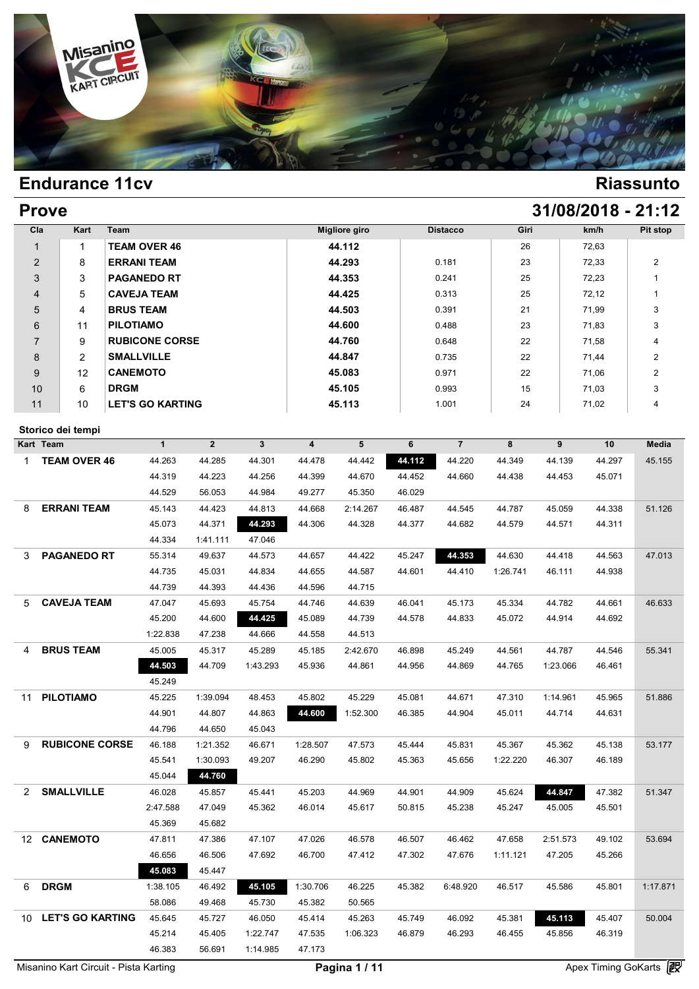

# **Prove 31/08/2018 - 21:12**

| Cla               | Kart                  | Team                    |                |          |          | <b>Migliore giro</b> |        | <b>Distacco</b> | Giri     |          | km/h   | <b>Pit stop</b>         |
|-------------------|-----------------------|-------------------------|----------------|----------|----------|----------------------|--------|-----------------|----------|----------|--------|-------------------------|
| $\mathbf{1}$      | $\mathbf{1}$          | <b>TEAM OVER 46</b>     |                |          |          | 44.112               |        |                 | 26       |          | 72,63  |                         |
| $\overline{2}$    | 8                     | <b>ERRANI TEAM</b>      |                |          |          | 44.293               |        | 0.181           | 23       |          | 72,33  | $\overline{2}$          |
| 3                 | 3                     | <b>PAGANEDO RT</b>      |                |          |          | 44.353               |        | 0.241           | 25       |          | 72,23  | $\mathbf{1}$            |
| 4                 | 5                     | <b>CAVEJA TEAM</b>      |                |          |          | 44.425               |        | 0.313           | 25       |          | 72,12  | $\mathbf{1}$            |
| 5                 | 4                     | <b>BRUS TEAM</b>        |                |          |          | 44.503               |        | 0.391           | 21       |          | 71,99  | 3                       |
| 6                 | 11                    | <b>PILOTIAMO</b>        |                |          |          | 44.600               |        | 0.488           | 23       |          | 71,83  | 3                       |
| 7                 | 9                     | <b>RUBICONE CORSE</b>   |                |          |          | 44.760               |        | 0.648           | 22       |          | 71,58  | 4                       |
| 8                 | $\overline{2}$        | <b>SMALLVILLE</b>       |                |          |          | 44.847               |        | 0.735           | 22       |          | 71,44  | $\overline{2}$          |
| 9                 | 12                    | <b>CANEMOTO</b>         |                |          |          | 45.083               |        | 0.971           | 22       |          | 71,06  | $\overline{2}$          |
| 10                | 6                     | <b>DRGM</b>             |                |          |          | 45.105               |        | 0.993           | 15       |          | 71,03  | 3                       |
|                   | 10                    | <b>LET'S GO KARTING</b> |                |          |          | 45.113               |        | 1.001           | 24       |          | 71,02  | $\overline{\mathbf{4}}$ |
| 11                |                       |                         |                |          |          |                      |        |                 |          |          |        |                         |
|                   | Storico dei tempi     |                         |                |          |          |                      |        |                 |          |          |        |                         |
| Kart Team         |                       | $\mathbf{1}$            | $\overline{2}$ | 3        | 4        | 5                    | 6      | $\overline{7}$  | 8        | 9        | 10     | Media                   |
| 1                 | <b>TEAM OVER 46</b>   | 44.263                  | 44.285         | 44.301   | 44.478   | 44.442               | 44.112 | 44.220          | 44.349   | 44.139   | 44.297 | 45.155                  |
|                   |                       | 44.319                  | 44.223         | 44.256   | 44.399   | 44.670               | 44.452 | 44.660          | 44.438   | 44.453   | 45.071 |                         |
|                   |                       | 44.529                  | 56.053         | 44.984   | 49.277   | 45.350               | 46.029 |                 |          |          |        |                         |
| 8                 | <b>ERRANI TEAM</b>    | 45.143                  | 44.423         | 44.813   | 44.668   | 2:14.267             | 46.487 | 44.545          | 44.787   | 45.059   | 44.338 | 51.126                  |
|                   |                       | 45.073                  | 44.371         | 44.293   | 44.306   | 44.328               | 44.377 | 44.682          | 44.579   | 44.571   | 44.311 |                         |
|                   |                       | 44.334                  | 1:41.111       | 47.046   |          |                      |        |                 |          |          |        |                         |
| 3                 | <b>PAGANEDO RT</b>    | 55.314                  | 49.637         | 44.573   | 44.657   | 44.422               | 45.247 | 44.353          | 44.630   | 44.418   | 44.563 | 47.013                  |
|                   |                       | 44.735                  | 45.031         | 44.834   | 44.655   | 44.587               | 44.601 | 44.410          | 1:26.741 | 46.111   | 44.938 |                         |
|                   |                       | 44.739                  | 44.393         | 44.436   | 44.596   | 44.715               |        |                 |          |          |        |                         |
| 5                 | <b>CAVEJA TEAM</b>    | 47.047                  | 45.693         | 45.754   | 44.746   | 44.639               | 46.041 | 45.173          | 45.334   | 44.782   | 44.661 | 46.633                  |
|                   |                       | 45.200                  | 44.600         | 44.425   | 45.089   | 44.739               | 44.578 | 44.833          | 45.072   | 44.914   | 44.692 |                         |
|                   |                       | 1:22.838                | 47.238         | 44.666   | 44.558   | 44.513               |        |                 |          |          |        |                         |
| 4                 | <b>BRUS TEAM</b>      | 45.005                  | 45.317         | 45.289   | 45.185   | 2:42.670             | 46.898 | 45.249          | 44.561   | 44.787   | 44.546 | 55.341                  |
|                   |                       | 44.503                  | 44.709         | 1:43.293 | 45.936   | 44.861               | 44.956 | 44.869          | 44.765   | 1:23.066 | 46.461 |                         |
|                   |                       | 45.249                  |                |          |          |                      |        |                 |          |          |        |                         |
| 11                | <b>PILOTIAMO</b>      | 45.225                  | 1:39.094       | 48.453   | 45.802   | 45.229               | 45.081 | 44.671          | 47.310   | 1:14.961 | 45.965 | 51.886                  |
|                   |                       | 44.901                  | 44.807         | 44.863   | 44.600   | 1:52.300             | 46.385 | 44.904          | 45.011   | 44.714   | 44.631 |                         |
|                   |                       | 44.796                  | 44.650         | 45.043   |          |                      |        |                 |          |          |        |                         |
| 9                 | <b>RUBICONE CORSE</b> | 46.188                  | 1:21.352       | 46.671   | 1:28.507 | 47.573               | 45.444 | 45.831          | 45.367   | 45.362   | 45.138 | 53.177                  |
|                   |                       | 45.541                  | 1:30.093       | 49.207   | 46.290   | 45.802               | 45.363 | 45.656          | 1:22.220 | 46.307   | 46.189 |                         |
|                   |                       | 45.044                  | 44.760         |          |          |                      |        |                 |          |          |        |                         |
|                   | 2 SMALLVILLE          | 46.028                  | 45.857         | 45.441   | 45.203   | 44.969               | 44.901 | 44.909          | 45.624   | 44.847   | 47.382 | 51.347                  |
|                   |                       | 2:47.588                | 47.049         | 45.362   | 46.014   | 45.617               | 50.815 | 45.238          | 45.247   | 45.005   | 45.501 |                         |
|                   |                       | 45.369                  | 45.682         |          |          |                      |        |                 |          |          |        |                         |
|                   | 12 CANEMOTO           | 47.811                  | 47.386         | 47.107   | 47.026   | 46.578               | 46.507 | 46.462          | 47.658   | 2:51.573 | 49.102 | 53.694                  |
|                   |                       | 46.656                  | 46.506         | 47.692   | 46.700   | 47.412               | 47.302 | 47.676          | 1:11.121 | 47.205   | 45.266 |                         |
|                   |                       | 45.083                  | 45.447         |          |          |                      |        |                 |          |          |        |                         |
| <b>DRGM</b><br>6. |                       | 1:38.105                | 46.492         | 45.105   | 1:30.706 | 46.225               | 45.382 | 6:48.920        | 46.517   | 45.586   | 45.801 | 1:17.871                |
|                   |                       | 58.086                  | 49.468         | 45.730   | 45.382   | 50.565               |        |                 |          |          |        |                         |
|                   | 10 LET'S GO KARTING   | 45.645                  | 45.727         | 46.050   | 45.414   | 45.263               | 45.749 | 46.092          | 45.381   | 45.113   | 45.407 | 50.004                  |
|                   |                       | 45.214                  | 45.405         | 1:22.747 | 47.535   | 1:06.323             | 46.879 | 46.293          | 46.455   | 45.856   | 46.319 |                         |
|                   |                       | 46.383                  | 56.691         | 1:14.985 | 47.173   |                      |        |                 |          |          |        |                         |
|                   |                       |                         |                |          |          |                      |        |                 |          |          |        | <b>GR</b>               |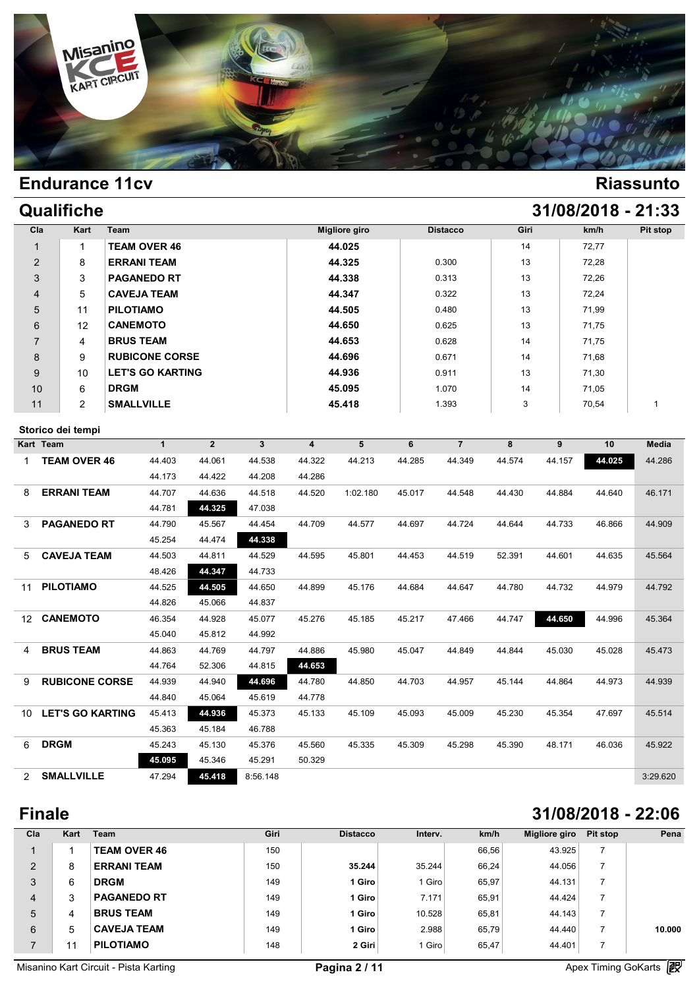

## **Qualifiche 31/08/2018 - 21:33**

| Cla                  |             | Kart                  | Team                    |              |                |              |                         | <b>Migliore giro</b> |        | <b>Distacco</b> | Giri   |                  | km/h   | <b>Pit stop</b> |
|----------------------|-------------|-----------------------|-------------------------|--------------|----------------|--------------|-------------------------|----------------------|--------|-----------------|--------|------------------|--------|-----------------|
| $\mathbf{1}$         |             | $\mathbf{1}$          | <b>TEAM OVER 46</b>     |              |                |              |                         | 44.025               |        |                 | 14     |                  | 72,77  |                 |
| $\overline{2}$       |             | 8                     | <b>ERRANI TEAM</b>      |              |                |              |                         | 44.325               |        | 0.300           | 13     |                  | 72,28  |                 |
| 3                    |             | 3                     | <b>PAGANEDO RT</b>      |              |                |              |                         | 44.338               |        | 0.313           | 13     |                  | 72,26  |                 |
| 4                    |             | 5                     | <b>CAVEJA TEAM</b>      |              |                |              |                         | 44.347               |        | 0.322           | 13     |                  | 72,24  |                 |
| 5                    |             | 11                    | <b>PILOTIAMO</b>        |              |                |              |                         | 44.505               |        | 0.480           | 13     |                  | 71,99  |                 |
| 6                    |             | 12                    | <b>CANEMOTO</b>         |              |                |              |                         | 44.650               |        | 0.625           | 13     |                  | 71,75  |                 |
| $\overline{7}$       |             | $\overline{4}$        | <b>BRUS TEAM</b>        |              |                |              |                         | 44.653               |        | 0.628           | 14     |                  | 71,75  |                 |
| 8                    |             | 9                     | <b>RUBICONE CORSE</b>   |              |                |              |                         | 44.696               |        | 0.671           | 14     |                  | 71,68  |                 |
| 9                    |             | 10                    | <b>LET'S GO KARTING</b> |              |                |              |                         | 44.936               |        | 0.911           | 13     |                  | 71,30  |                 |
| 10                   |             | 6                     | <b>DRGM</b>             |              |                |              |                         | 45.095               |        | 1.070           | 14     |                  | 71,05  |                 |
| 11                   |             | $\overline{2}$        | <b>SMALLVILLE</b>       |              |                |              |                         | 45.418               |        | 1.393           | 3      |                  | 70,54  | $\mathbf{1}$    |
|                      |             | Storico dei tempi     |                         |              |                |              |                         |                      |        |                 |        |                  |        |                 |
| Kart Team            |             |                       |                         | $\mathbf{1}$ | $\overline{2}$ | $\mathbf{3}$ | $\overline{\mathbf{4}}$ | 5                    | 6      | $\overline{7}$  | 8      | $\boldsymbol{9}$ | 10     | <b>Media</b>    |
| $\mathbf{1}$         |             | <b>TEAM OVER 46</b>   |                         | 44.403       | 44.061         | 44.538       | 44.322                  | 44.213               | 44.285 | 44.349          | 44.574 | 44.157           | 44.025 | 44.286          |
|                      |             |                       |                         | 44.173       | 44.422         | 44.208       | 44.286                  |                      |        |                 |        |                  |        |                 |
| 8                    |             | <b>ERRANI TEAM</b>    |                         | 44.707       | 44.636         | 44.518       | 44.520                  | 1:02.180             | 45.017 | 44.548          | 44.430 | 44.884           | 44.640 | 46.171          |
|                      |             |                       |                         | 44.781       | 44.325         | 47.038       |                         |                      |        |                 |        |                  |        |                 |
| 3                    |             | <b>PAGANEDO RT</b>    |                         | 44.790       | 45.567         | 44.454       | 44.709                  | 44.577               | 44.697 | 44.724          | 44.644 | 44.733           | 46.866 | 44.909          |
|                      |             |                       |                         | 45.254       | 44.474         | 44.338       |                         |                      |        |                 |        |                  |        |                 |
| 5                    |             | <b>CAVEJA TEAM</b>    |                         | 44.503       | 44.811         | 44.529       | 44.595                  | 45.801               | 44.453 | 44.519          | 52.391 | 44.601           | 44.635 | 45.564          |
|                      |             |                       |                         | 48.426       | 44.347         | 44.733       |                         |                      |        |                 |        |                  |        |                 |
| 11                   |             | <b>PILOTIAMO</b>      |                         | 44.525       | 44.505         | 44.650       | 44.899                  | 45.176               | 44.684 | 44.647          | 44.780 | 44.732           | 44.979 | 44.792          |
|                      |             |                       |                         | 44.826       | 45.066         | 44.837       |                         |                      |        |                 |        |                  |        |                 |
|                      |             | 12 CANEMOTO           |                         | 46.354       | 44.928         | 45.077       | 45.276                  | 45.185               | 45.217 | 47.466          | 44.747 | 44.650           | 44.996 | 45.364          |
|                      |             |                       |                         | 45.040       | 45.812         | 44.992       |                         |                      |        |                 |        |                  |        |                 |
| 4                    |             | <b>BRUS TEAM</b>      |                         | 44.863       | 44.769         | 44.797       | 44.886                  | 45.980               | 45.047 | 44.849          | 44.844 | 45.030           | 45.028 | 45.473          |
|                      |             |                       |                         | 44.764       | 52.306         | 44.815       | 44.653                  |                      |        |                 |        |                  |        |                 |
| 9                    |             | <b>RUBICONE CORSE</b> |                         | 44.939       | 44.940         | 44.696       | 44.780                  | 44.850               | 44.703 | 44.957          | 45.144 | 44.864           | 44.973 | 44.939          |
|                      |             |                       |                         | 44.840       | 45.064         | 45.619       | 44.778                  |                      |        |                 |        |                  |        |                 |
|                      |             | 10 LET'S GO KARTING   |                         | 45.413       | 44.936         | 45.373       | 45.133                  | 45.109               | 45.093 | 45.009          | 45.230 | 45.354           | 47.697 | 45.514          |
|                      |             |                       |                         | 45.363       | 45.184         | 46.788       |                         |                      |        |                 |        |                  |        |                 |
| 6                    | <b>DRGM</b> |                       |                         | 45.243       | 45.130         | 45.376       | 45.560                  | 45.335               | 45.309 | 45.298          | 45.390 | 48.171           | 46.036 | 45.922          |
|                      |             |                       |                         | 45.095       | 45.346         | 45.291       | 50.329                  |                      |        |                 |        |                  |        |                 |
| $\mathbf{2}^{\circ}$ |             | <b>SMALLVILLE</b>     |                         | 47.294       | 45.418         | 8:56.148     |                         |                      |        |                 |        |                  |        | 3:29.620        |

## **Finale 31/08/2018 - 22:06**

| Cla | Kart | Team                | Giri | <b>Distacco</b> | Interv. | km/h  | Migliore giro | Pit stop | Pena   |
|-----|------|---------------------|------|-----------------|---------|-------|---------------|----------|--------|
|     |      | <b>TEAM OVER 46</b> | 150  |                 |         | 66,56 | 43.925        |          |        |
| 2   | 8    | <b>ERRANI TEAM</b>  | 150  | 35.244          | 35.244  | 66,24 | 44.056        |          |        |
| 3   | 6    | <b>DRGM</b>         | 149  | 1 Giro          | 1 Giro  | 65,97 | 44.131        |          |        |
| 4   | 3    | <b>PAGANEDO RT</b>  | 149  | 1 Giro          | 7.171   | 65,91 | 44.424        |          |        |
| 5   | 4    | <b>BRUS TEAM</b>    | 149  | 1 Giro          | 10.528  | 65,81 | 44.143        |          |        |
| 6   | 5    | <b>CAVEJA TEAM</b>  | 149  | 1 Giro          | 2.988   | 65,79 | 44.440        |          | 10.000 |
|     | ſ    | <b>PILOTIAMO</b>    | 148  | 2 Giri          | 1 Giro  | 65,47 | 44.401        |          |        |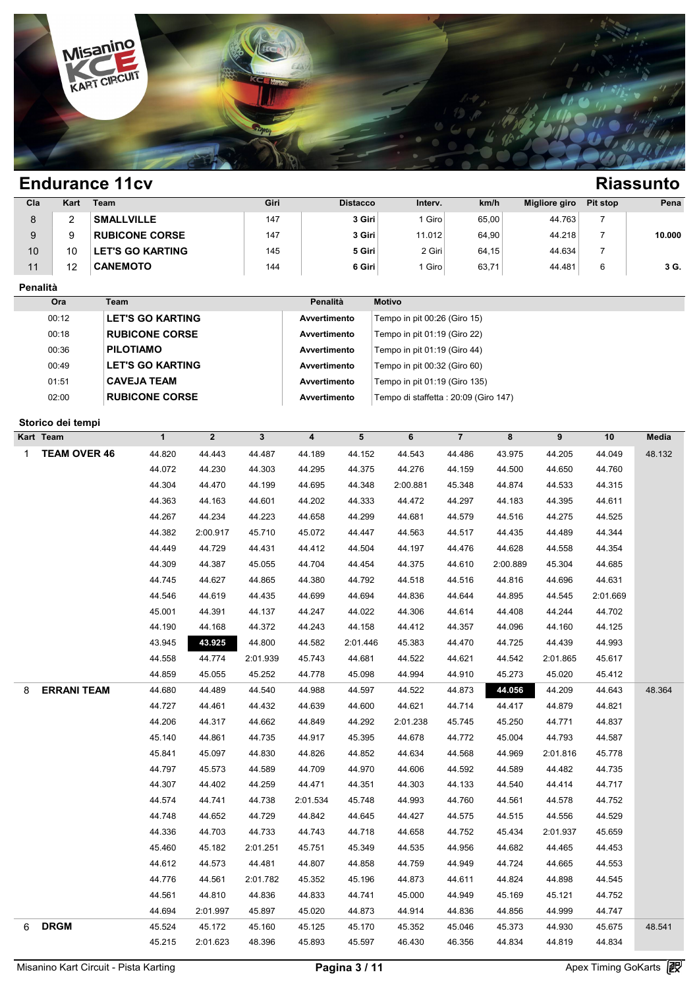

| Cla | Kart | Team                    | Giri | <b>Distacco</b> | Interv. | km/h  | <b>Migliore giro</b> | Pit stop | Pena   |
|-----|------|-------------------------|------|-----------------|---------|-------|----------------------|----------|--------|
| 8   |      | <b>SMALLVILLE</b>       | 147  | 3 Giri          | 1 Giro  | 65,00 | 44.763               |          |        |
| 9   |      | <b>RUBICONE CORSE</b>   | 147  | 3 Giri          | 11.012  | 64,90 | 44.218               |          | 10.000 |
| 10  | 10   | <b>LET'S GO KARTING</b> | 145  | 5 Giri          | 2 Giri  | 64,15 | 44.634               |          |        |
| 11  | 12   | <b>CANEMOTO</b>         | 144  | 6 Giri          | Giro    | 63,71 | 44.481               |          | 3 G.   |

## **Penalità**

| Ora   | Team                    | Penalità     | <b>Motivo</b>                         |
|-------|-------------------------|--------------|---------------------------------------|
| 00:12 | <b>LET'S GO KARTING</b> | Avvertimento | Tempo in pit 00:26 (Giro 15)          |
| 00:18 | <b>RUBICONE CORSE</b>   | Avvertimento | Tempo in pit 01:19 (Giro 22)          |
| 00:36 | <b>PILOTIAMO</b>        | Avvertimento | Tempo in pit 01:19 (Giro 44)          |
| 00:49 | <b>LET'S GO KARTING</b> | Avvertimento | Tempo in pit 00:32 (Giro 60)          |
| 01:51 | <b>CAVEJA TEAM</b>      | Avvertimento | Tempo in pit 01:19 (Giro 135)         |
| 02:00 | <b>RUBICONE CORSE</b>   | Avvertimento | Tempo di staffetta : 20:09 (Giro 147) |

## **Storico dei tempi**

|              | Kart Team           | $\mathbf{1}$ | $\overline{2}$ | $\mathbf{3}$ | $\overline{\mathbf{4}}$ | $5\phantom{.0}$ | 6        | $\overline{7}$ | 8        | 9        | 10       | <b>Media</b> |
|--------------|---------------------|--------------|----------------|--------------|-------------------------|-----------------|----------|----------------|----------|----------|----------|--------------|
| $\mathbf{1}$ | <b>TEAM OVER 46</b> | 44.820       | 44.443         | 44.487       | 44.189                  | 44.152          | 44.543   | 44.486         | 43.975   | 44.205   | 44.049   | 48.132       |
|              |                     | 44.072       | 44.230         | 44.303       | 44.295                  | 44.375          | 44.276   | 44.159         | 44.500   | 44.650   | 44.760   |              |
|              |                     | 44.304       | 44.470         | 44.199       | 44.695                  | 44.348          | 2:00.881 | 45.348         | 44.874   | 44.533   | 44.315   |              |
|              |                     | 44.363       | 44.163         | 44.601       | 44.202                  | 44.333          | 44.472   | 44.297         | 44.183   | 44.395   | 44.611   |              |
|              |                     | 44.267       | 44.234         | 44.223       | 44.658                  | 44.299          | 44.681   | 44.579         | 44.516   | 44.275   | 44.525   |              |
|              |                     | 44.382       | 2:00.917       | 45.710       | 45.072                  | 44.447          | 44.563   | 44.517         | 44.435   | 44.489   | 44.344   |              |
|              |                     | 44.449       | 44.729         | 44.431       | 44.412                  | 44.504          | 44.197   | 44.476         | 44.628   | 44.558   | 44.354   |              |
|              |                     | 44.309       | 44.387         | 45.055       | 44.704                  | 44.454          | 44.375   | 44.610         | 2:00.889 | 45.304   | 44.685   |              |
|              |                     | 44.745       | 44.627         | 44.865       | 44.380                  | 44.792          | 44.518   | 44.516         | 44.816   | 44.696   | 44.631   |              |
|              |                     | 44.546       | 44.619         | 44.435       | 44.699                  | 44.694          | 44.836   | 44.644         | 44.895   | 44.545   | 2:01.669 |              |
|              |                     | 45.001       | 44.391         | 44.137       | 44.247                  | 44.022          | 44.306   | 44.614         | 44.408   | 44.244   | 44.702   |              |
|              |                     | 44.190       | 44.168         | 44.372       | 44.243                  | 44.158          | 44.412   | 44.357         | 44.096   | 44.160   | 44.125   |              |
|              |                     | 43.945       | 43.925         | 44.800       | 44.582                  | 2:01.446        | 45.383   | 44.470         | 44.725   | 44.439   | 44.993   |              |
|              |                     | 44.558       | 44.774         | 2:01.939     | 45.743                  | 44.681          | 44.522   | 44.621         | 44.542   | 2:01.865 | 45.617   |              |
|              |                     | 44.859       | 45.055         | 45.252       | 44.778                  | 45.098          | 44.994   | 44.910         | 45.273   | 45.020   | 45.412   |              |
| 8            | <b>ERRANI TEAM</b>  | 44.680       | 44.489         | 44.540       | 44.988                  | 44.597          | 44.522   | 44.873         | 44.056   | 44.209   | 44.643   | 48.364       |
|              |                     | 44.727       | 44.461         | 44.432       | 44.639                  | 44.600          | 44.621   | 44.714         | 44.417   | 44.879   | 44.821   |              |
|              |                     | 44.206       | 44.317         | 44.662       | 44.849                  | 44.292          | 2:01.238 | 45.745         | 45.250   | 44.771   | 44.837   |              |
|              |                     | 45.140       | 44.861         | 44.735       | 44.917                  | 45.395          | 44.678   | 44.772         | 45.004   | 44.793   | 44.587   |              |
|              |                     | 45.841       | 45.097         | 44.830       | 44.826                  | 44.852          | 44.634   | 44.568         | 44.969   | 2:01.816 | 45.778   |              |
|              |                     | 44.797       | 45.573         | 44.589       | 44.709                  | 44.970          | 44.606   | 44.592         | 44.589   | 44.482   | 44.735   |              |
|              |                     | 44.307       | 44.402         | 44.259       | 44.471                  | 44.351          | 44.303   | 44.133         | 44.540   | 44.414   | 44.717   |              |
|              |                     | 44.574       | 44.741         | 44.738       | 2:01.534                | 45.748          | 44.993   | 44.760         | 44.561   | 44.578   | 44.752   |              |
|              |                     | 44.748       | 44.652         | 44.729       | 44.842                  | 44.645          | 44.427   | 44.575         | 44.515   | 44.556   | 44.529   |              |
|              |                     | 44.336       | 44.703         | 44.733       | 44.743                  | 44.718          | 44.658   | 44.752         | 45.434   | 2:01.937 | 45.659   |              |
|              |                     | 45.460       | 45.182         | 2:01.251     | 45.751                  | 45.349          | 44.535   | 44.956         | 44.682   | 44.465   | 44.453   |              |
|              |                     | 44.612       | 44.573         | 44.481       | 44.807                  | 44.858          | 44.759   | 44.949         | 44.724   | 44.665   | 44.553   |              |
|              |                     | 44.776       | 44.561         | 2:01.782     | 45.352                  | 45.196          | 44.873   | 44.611         | 44.824   | 44.898   | 44.545   |              |
|              |                     | 44.561       | 44.810         | 44.836       | 44.833                  | 44.741          | 45.000   | 44.949         | 45.169   | 45.121   | 44.752   |              |
|              |                     | 44.694       | 2:01.997       | 45.897       | 45.020                  | 44.873          | 44.914   | 44.836         | 44.856   | 44.999   | 44.747   |              |
| 6            | <b>DRGM</b>         | 45.524       | 45.172         | 45.160       | 45.125                  | 45.170          | 45.352   | 45.046         | 45.373   | 44.930   | 45.675   | 48.541       |
|              |                     | 45.215       | 2:01.623       | 48.396       | 45.893                  | 45.597          | 46.430   | 46.356         | 44.834   | 44.819   | 44.834   |              |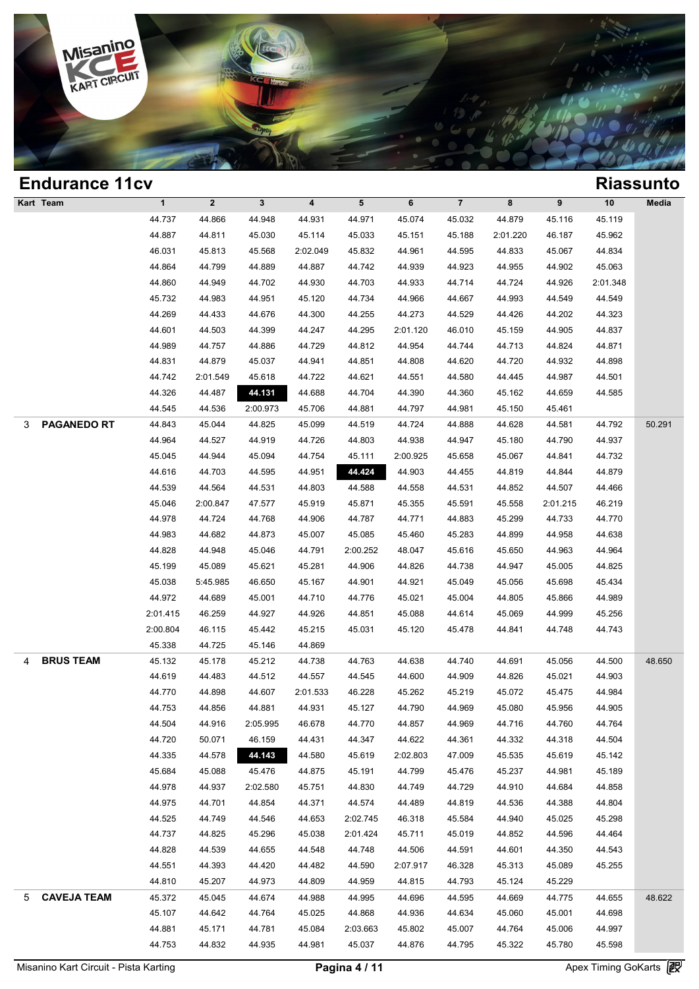

## **Endurance 11cv Riassunto Kart Team 1 2 3 4 5 6 7 8 9 10 Media 1**<br>
44.737 44.866 44.948 44.931 44.971 45.074 45.032 44.879 45.116 45.119<br>
44.887 44.811 45.030 45.114 45.032 45.151 45.082 46.127 45.063 1 2 3 4 5 6 7 8 9 10 Med<br>44.737 44.866 44.948 44.931 44.971 45.074 45.032 44.879 45.116 45.119<br>44.887 44.811 45.030 45.114 45.033 45.151 45.188 2:01.220 46.187 45.962<br>46.031 45.932 45.982 44.879 45.972 44.973 44.879 45.972 1 2 3 4 5 6 7 8 9 10 Med<br>44.737 44.866 44.948 44.931 44.971 45.074 45.032 44.879 45.116 45.119<br>44.887 44.811 45.030 45.114 45.033 45.151 45.188 2:01.220 46.187 45.962<br>46.031 45.813 45.568 2:02.049 45.832 44.961 44.595 44. 44.737 44.866 44.948 44.931 44.971 45.074 45.032 44.879 45.116 45.119<br>44.887 44.811 45.030 45.114 45.033 45.151 45.188 2:01.220 46.187 45.962<br>46.031 45.813 45.568 2:02.049 45.832 44.961 44.595 44.833 45.067 44.834<br>44.864 4 44.887 44.811 45.030 45.114 45.033 45.151 45.188 2:01.220 46.187 45.962<br>46.031 45.813 45.568 2:02.049 45.832 44.961 44.595 44.833 45.067 44.834<br>44.864 44.799 44.889 44.887 44.742 44.939 44.923 44.955 44.902 45.063<br>44.860 4 46.031 45.813 45.568 2:02.049 45.832 44.961 44.595 44.833 45.067 44.834<br>44.864 44.799 44.889 44.887 44.742 44.939 44.923 44.955 44.902 45.063<br>44.860 44.949 44.702 44.930 44.703 44.933 44.714 44.724 44.926 2:01.348<br>45.732 4 44.864 44.799 44.889 44.887 44.742 44.939 44.923 44.955 44.902 45.063<br>44.860 44.949 44.702 44.930 44.703 44.933 44.714 44.724 44.926 2:01.348<br>45.732 44.983 44.951 45.120 44.734 44.966 44.667 44.993 44.549 44.549<br>44.269 44. 44.860 44.949 44.702 44.930 44.703 44.933 44.714 44.724 44.926 2:01.348<br>45.732 44.983 44.951 45.120 44.734 44.966 44.667 44.993 44.549 44.549<br>44.269 44.433 44.676 44.300 44.255 44.273 44.529 44.426 44.202 44.323<br>44.601 44. 46.732 44.983 44.951 45.120 44.734 44.966 44.667 44.993 44.549 44.549<br>44.269 44.433 44.676 44.300 44.255 44.273 44.529 44.426 44.202 44.323<br>44.601 44.503 44.399 44.247 44.295 2:01.120 46.010 45.159 44.905 44.837<br>44.989 44. 44.269 44.433 44.676 44.300 44.255 44.273 44.529 44.426 44.202 44.323<br>44.601 44.503 44.399 44.247 44.295 2:01.120 46.010 45.159 44.905 44.837<br>44.989 44.757 44.886 44.729 44.812 44.954 44.744 44.713 44.824 44.871<br>44.831 44. 44.601 44.503 44.399 44.247 44.295 2:01.120 46.010 45.159 44.905 44.837<br>44.989 44.757 44.886 44.729 44.812 44.954 44.744 44.713 44.824 44.871<br>44.831 44.879 45.037 44.941 44.851 44.808 44.620 44.720 44.932 44.898<br>44.742 2:0 44.989 44.757 44.886 44.729 44.812 44.954 44.744 44.713 44.824 44.871<br>44.831 44.879 45.037 44.941 44.851 44.808 44.620 44.720 44.932 44.898<br>44.742 2:01.549 45.618 44.722 44.621 44.551 44.580 44.445 44.987 44.501<br>44.326 44. 44.831 44.87 45.037 44.941 44.851 44.808 44.620 44.720 44.932 44.8<br>44.742 2:01.549 45.618 44.722 44.621 44.551 44.580 44.445 44.987 44.5<br>44.326 44.487 44.688 44.704 44.390 44.360 45.162 44.659 44.5<br>44.545 44.536 2:00.973 4 3 **PAGANEDO RT** 44.843 45.044 44.825 45.099 44.519 44.724 44.888 44.628 44.581 44.792 50.291 44.326 44.487 44.131 44.688 44.704 44.390 44.360 45.162 44.659 44.585<br>44.545 44.536 2:00.973 45.706 44.881 44.797 44.981 45.150 45.461<br>44.843 45.044 44.825 45.099 44.519 44.724 44.888 44.628 44.581 44.792 50.2<br>44.964 44.52 44.545 44.536 2:00.973 45.706 44.881 44.797 44.981 45.150 45.461<br>44.843 45.044 44.825 45.099 44.519 44.724 44.888 44.628 44.581 44.792 50.2<br>44.964 44.527 44.919 44.726 44.803 44.938 44.947 45.180 44.790 44.937<br>45.045 44.94 44.843 45.044 44.825 45.099 44.519 44.724 44.888 44.628 44.581 44.792 50.2<br>44.964 44.527 44.919 44.726 44.803 44.938 44.947 45.180 44.790 44.937<br>45.045 44.944 45.094 44.754 45.111 2:00.925 45.658 45.067 44.841 44.732<br>44.61 44.964 44.527 44.919 44.726 44.803 44.938 44.947 45.180 44.790 44.937<br>45.045 44.944 45.094 44.754 45.111 2:00.925 45.658 45.067 44.841 44.732<br>44.616 44.703 44.595 44.951 44.803 44.958 44.903 44.455 44.819 44.844 44.879<br>44. 46.045 44.944 45.094 44.754 45.111 2:00.925 45.658 45.067 44.841 44.732<br>44.616 44.703 44.595 44.951 44.424 44.903 44.455 44.819 44.844 44.879<br>44.539 44.564 44.531 44.803 44.588 44.558 44.531 44.852 44.507 44.466<br>45.046 2:0 44.616 44.703 44.595 44.971 44.424 44.903 44.455 44.819 44.844 44.879<br>44.539 44.564 44.531 44.803 44.588 44.558 44.531 44.852 44.507 44.466<br>45.046 2:00.847 47.577 45.919 45.871 45.355 45.591 45.558 2:01.215 46.219<br>44.978 4 44.539 44.564 44.531 44.803 44.588 44.558 44.531 44.852 44.507 44.466<br>45.046 2:00.847 47.577 45.919 45.871 45.355 45.591 45.558 2:01.215 46.219<br>44.978 44.724 44.768 44.906 44.787 44.771 44.883 45.299 44.733 44.770<br>44.983 4 45.046 2:00.847 47.577 45.919 45.871 45.355 45.591 45.558 2:01.215 46.219<br>44.978 44.724 44.768 44.906 44.787 44.771 44.883 45.299 44.733 44.770<br>44.983 44.682 44.873 45.007 45.085 45.460 45.283 44.899 44.958 44.638<br>44.828 4 44.978 44.724 44.768 44.906 44.787 44.771 44.883 45.299 44.733 44.770<br>44.983 44.682 44.873 45.007 45.085 45.460 45.283 44.899 44.958 44.638<br>44.828 44.948 45.046 44.791 2:00.252 48.047 45.616 45.650 44.963 44.964<br>45.199 45. 44.983 44.682 44.873 45.007 45.085 45.460 45.283 44.899 44.958 44.638<br>44.828 44.948 45.046 44.791 2:00.252 48.047 45.616 45.650 44.963 44.964<br>45.199 45.089 45.621 45.281 44.906 44.826 44.738 44.947 45.005 44.825<br>45.038 5:4 44.828 44.948 45.046 44.791 2:00.252 48.047 45.616 45.650 44.963 44.964<br>45.199 45.089 45.621 45.281 44.906 44.826 44.738 44.947 45.005 44.825<br>45.038 5:45.985 46.650 45.167 44.901 44.921 45.049 45.056 45.698 45.434<br>44.972 4 45.199 45.089 45.621 45.281 44.906 44.826 44.738 44.947 45.005 44.825<br>45.038 5:45.985 46.650 45.167 44.901 44.921 45.049 45.056 45.698 45.434<br>44.972 44.689 45.001 44.710 44.776 45.021 45.004 44.805 45.866 44.989<br>2:01.415 4 46.650 46.650 46.650 46.167 44.901 44.921 45.049 45.056 45.698 45.434<br>44.972 44.689 45.001 44.710 44.776 45.021 45.004 44.805 45.866 44.989<br>2:01.415 46.259 44.927 44.926 44.851 45.088 44.614 45.069 44.999 45.256<br>2:00.804 4 44.972 44.689 45.001 44.710 44.7<br>
1.01.415 46.259 44.927 44.926 44.8<br>
1.00.804 46.115 45.442 45.215 45.03<br>
45.338 44.725 45.146 44.869 4 **BRUS TEAM** 45.132 45.178 45.212 44.738 44.763 44.638 44.740 44.691 45.056 44.500 48.650 46.115 45.442 45.215 45.031 45.120 45.478 44.748 44.743 44.743 44.725 45.146 44.869 45.132 45.178 45.212 44.738 44.763 44.638 44.740 44.691 45.056 44.500 48.6<br>45.132 45.178 45.212 44.738 44.763 44.638 44.740 44.691 45.056 45.338 44.725 45.146 44.869<br>45.132 45.178 45.212 44.738 44.763 44.638 44.740 44.691 45.056 44.500 48.6<br>44.619 44.483 44.512 44.557 44.545 44.600 44.909 44.826 45.021 44.903<br>44.770 44.898 44.607 2:01.533 46.228 45.262 45.21 46.132 45.178 45.212 44.738 44.763 44.638 44.740 44.691 45.056 44.500 48.6<br>44.619 44.483 44.512 44.557 44.545 44.600 44.909 44.826 45.021 44.903<br>44.770 44.898 44.607 2:01.533 46.228 45.262 45.219 45.072 45.475 44.984<br>44.75 44.619 44.483 44.512 44.557 44.545 44.600 44.909 44.826 45.021 44.903<br>44.770 44.898 44.607 2:01.533 46.228 45.262 45.219 45.072 45.475 44.984<br>44.753 44.856 44.881 44.931 45.127 44.790 44.969 45.080 45.956 44.905<br>44.504 44. 44.770 44.898 44.607 2:01.533 46.228 45.262 45.219 45.072 45.475 44.984<br>44.753 44.856 44.881 44.931 45.127 44.790 44.969 45.080 45.956 44.905<br>44.504 44.916 2:05.995 46.678 44.770 44.857 44.969 44.716 44.760 44.764<br>44.720 5 44.753 44.856 44.881 44.931 45.127 44.790 44.969 45.080 45.956 44.905<br>44.504 44.916 2:05.995 46.678 44.770 44.857 44.969 44.716 44.760 44.764<br>44.720 50.071 46.159 44.431 44.347 44.622 44.361 44.332 44.318 44.504<br>44.335 44. 44.504 44.916 2:05.995 46.678 44.770 44.857 44.969 44.716 44.760 44.764<br>44.720 50.071 46.159 44.431 44.347 44.622 44.361 44.332 44.318 44.504<br>44.335 44.578 44.580 45.619 2:02.803 47.009 45.535 45.619 45.142<br>45.684 45.088 4 44.720 50.071 46.159 44.431 44.347 44.622 44.361 44.332 44.318 44.504<br>44.335 44.578 44.143 44.580 45.619 2:02.803 47.009 45.535 45.619 45.142<br>45.684 45.088 45.476 44.875 45.191 44.799 45.476 45.237 44.981 45.189<br>44.978 44. 44.335 44.578 44.143 44.580 45.619 2:02.803 47.009 45.535 45.619 45.142<br>45.684 45.088 45.476 44.875 45.191 44.799 45.476 45.237 44.981 45.189<br>44.978 44.937 2:02.580 45.751 44.830 44.749 44.729 44.910 44.684 44.858<br>44.975 4 45.684 45.088 45.476 44.875 45.191 44.799 45.476 45.237 44.981 45.189<br>44.978 44.937 2:02.580 45.751 44.830 44.749 44.729 44.910 44.684 44.858<br>44.975 44.701 44.854 44.371 44.574 44.489 44.819 44.536 44.388 44.804<br>44.525 44. 44.978 44.937 2:02.580 45.751 44.830 44.749 44.729 44.910 44.684 44.858<br>44.975 44.701 44.854 44.371 44.574 44.489 44.819 44.536 44.388 44.804<br>44.525 44.749 44.546 44.653 2:02.745 46.318 45.584 44.940 45.025 45.298<br>44.737 4 44.975 44.701 44.854 44.371 44.574 44.489 44.819 44.536 44.388 44.804<br>44.525 44.749 44.546 44.653 2:02.745 46.318 45.584 44.940 45.025 45.298<br>44.737 44.825 45.296 45.038 2:01.424 45.711 45.019 44.852 44.596 44.464<br>44.828 4 44.525 44.749 44.546 44.653 2:02.745 46.318 45.584 44.940 45.025 45.298<br>44.737 44.825 45.296 45.038 2:01.424 45.711 45.019 44.852 44.596 44.464<br>44.828 44.539 44.655 44.548 44.748 44.506 44.591 44.601 44.350 44.543<br>44.551 4 44.737 44.825 45.296 45.038 2:01.424 45.711 45.019 44.852 44.596 44.44<br>44.828 44.539 44.655 44.548 44.748 44.506 44.591 44.601 44.350 44.5<br>44.551 44.393 44.420 44.482 44.590 2:07.917 46.328 45.313 45.089 45.2:<br>44.810 45.20 5 **CAVEJA TEAM** 45.372 45.045 44.674 44.988 44.995 44.696 44.595 44.669 44.775 44.655 48.622 44.551 44.393 44.420 44.482 44.590 2:07.917 46.328 45.313 45.089 45.255<br>44.810 45.207 44.973 44.809 44.959 44.815 44.793 45.124 45.229<br>45.372 45.045 44.674 44.988 44.995 44.696 44.595 44.669 44.775 44.655 48.6<br>45.107 44.64 44.810 45.207 44.973 44.809 44.959 44.815 44.793 45.124 45.229<br>45.372 45.045 44.674 44.988 44.995 44.696 44.595 44.669 44.775 44.655 48.6<br>45.107 44.642 44.764 45.025 44.868 44.936 44.634 45.060 45.001 44.698<br>44.881 45.171 44.752 45.045 44.674 44.988 44.995 44.696 44.595 44.669 44.775 44.655 48.6<br>45.107 44.642 44.764 45.025 44.868 44.936 44.634 45.060 45.001 44.698<br>44.881 45.171 44.781 45.084 2:03.663 45.802 45.007 44.764 45.006 44.997<br>44.75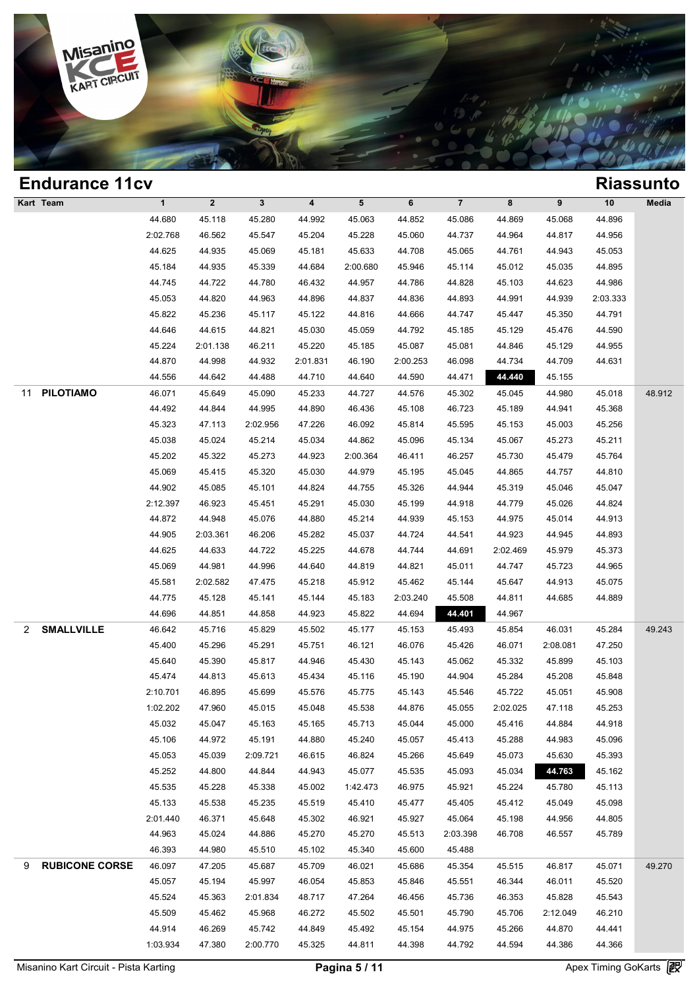

| <b>Endurance 11cv</b>      |              |              |              |          |            |          |                |          |          |          | <b>Riassunto</b> |
|----------------------------|--------------|--------------|--------------|----------|------------|----------|----------------|----------|----------|----------|------------------|
| Kart Team                  | $\mathbf{1}$ | $\mathbf{2}$ | $\mathbf{3}$ | 4        | $\sqrt{5}$ | 6        | $\overline{7}$ | 8        | 9        | $10$     | Media            |
|                            | 44.680       | 45.118       | 45.280       | 44.992   | 45.063     | 44.852   | 45.086         | 44.869   | 45.068   | 44.896   |                  |
|                            | 2:02.768     | 46.562       | 45.547       | 45.204   | 45.228     | 45.060   | 44.737         | 44.964   | 44.817   | 44.956   |                  |
|                            | 44.625       | 44.935       | 45.069       | 45.181   | 45.633     | 44.708   | 45.065         | 44.761   | 44.943   | 45.053   |                  |
|                            | 45.184       | 44.935       | 45.339       | 44.684   | 2:00.680   | 45.946   | 45.114         | 45.012   | 45.035   | 44.895   |                  |
|                            | 44.745       | 44.722       | 44.780       | 46.432   | 44.957     | 44.786   | 44.828         | 45.103   | 44.623   | 44.986   |                  |
|                            | 45.053       | 44.820       | 44.963       | 44.896   | 44.837     | 44.836   | 44.893         | 44.991   | 44.939   | 2:03.333 |                  |
|                            | 45.822       | 45.236       | 45.117       | 45.122   | 44.816     | 44.666   | 44.747         | 45.447   | 45.350   | 44.791   |                  |
|                            | 44.646       | 44.615       | 44.821       | 45.030   | 45.059     | 44.792   | 45.185         | 45.129   | 45.476   | 44.590   |                  |
|                            | 45.224       | 2:01.138     | 46.211       | 45.220   | 45.185     | 45.087   | 45.081         | 44.846   | 45.129   | 44.955   |                  |
|                            | 44.870       | 44.998       | 44.932       | 2:01.831 | 46.190     | 2:00.253 | 46.098         | 44.734   | 44.709   | 44.631   |                  |
|                            | 44.556       | 44.642       | 44.488       | 44.710   | 44.640     | 44.590   | 44.471         | 44.440   | 45.155   |          |                  |
| <b>PILOTIAMO</b><br>11     | 46.071       | 45.649       | 45.090       | 45.233   | 44.727     | 44.576   | 45.302         | 45.045   | 44.980   | 45.018   | 48.912           |
|                            | 44.492       | 44.844       | 44.995       | 44.890   | 46.436     | 45.108   | 46.723         | 45.189   | 44.941   | 45.368   |                  |
|                            | 45.323       | 47.113       | 2:02.956     | 47.226   | 46.092     | 45.814   | 45.595         | 45.153   | 45.003   | 45.256   |                  |
|                            | 45.038       | 45.024       | 45.214       | 45.034   | 44.862     | 45.096   | 45.134         | 45.067   | 45.273   | 45.211   |                  |
|                            | 45.202       | 45.322       | 45.273       | 44.923   | 2:00.364   | 46.411   | 46.257         | 45.730   | 45.479   | 45.764   |                  |
|                            | 45.069       | 45.415       | 45.320       | 45.030   | 44.979     | 45.195   | 45.045         | 44.865   | 44.757   | 44.810   |                  |
|                            | 44.902       | 45.085       | 45.101       | 44.824   | 44.755     | 45.326   | 44.944         | 45.319   | 45.046   | 45.047   |                  |
|                            | 2:12.397     | 46.923       | 45.451       | 45.291   | 45.030     | 45.199   | 44.918         | 44.779   | 45.026   | 44.824   |                  |
|                            | 44.872       | 44.948       | 45.076       | 44.880   | 45.214     | 44.939   | 45.153         | 44.975   | 45.014   | 44.913   |                  |
|                            | 44.905       | 2:03.361     | 46.206       | 45.282   | 45.037     | 44.724   | 44.541         | 44.923   | 44.945   | 44.893   |                  |
|                            | 44.625       | 44.633       | 44.722       | 45.225   | 44.678     | 44.744   | 44.691         | 2:02.469 | 45.979   | 45.373   |                  |
|                            | 45.069       | 44.981       | 44.996       | 44.640   | 44.819     | 44.821   | 45.011         | 44.747   | 45.723   | 44.965   |                  |
|                            | 45.581       | 2:02.582     | 47.475       | 45.218   | 45.912     | 45.462   | 45.144         | 45.647   | 44.913   | 45.075   |                  |
|                            | 44.775       | 45.128       | 45.141       | 45.144   | 45.183     | 2:03.240 | 45.508         | 44.811   | 44.685   | 44.889   |                  |
|                            | 44.696       | 44.851       | 44.858       | 44.923   | 45.822     | 44.694   | 44.401         | 44.967   |          |          |                  |
| <b>SMALLVILLE</b><br>2     | 46.642       | 45.716       | 45.829       | 45.502   | 45.177     | 45.153   | 45.493         | 45.854   | 46.031   | 45.284   | 49.243           |
|                            | 45.400       | 45.296       | 45.291       | 45.751   | 46.121     | 46.076   | 45.426         | 46.071   | 2:08.081 | 47.250   |                  |
|                            | 45.640       | 45.390       | 45.817       | 44.946   | 45.430     | 45.143   | 45.062         | 45.332   | 45.899   | 45.103   |                  |
|                            | 45.474       | 44.813       | 45.613       | 45.434   | 45.116     | 45.190   | 44.904         | 45.284   | 45.208   | 45.848   |                  |
|                            | 2:10.701     | 46.895       | 45.699       | 45.576   | 45.775     | 45.143   | 45.546         | 45.722   | 45.051   | 45.908   |                  |
|                            | 1:02.202     | 47.960       | 45.015       | 45.048   | 45.538     | 44.876   | 45.055         | 2:02.025 | 47.118   | 45.253   |                  |
|                            | 45.032       | 45.047       | 45.163       | 45.165   | 45.713     | 45.044   | 45.000         | 45.416   | 44.884   | 44.918   |                  |
|                            | 45.106       | 44.972       | 45.191       | 44.880   | 45.240     | 45.057   | 45.413         | 45.288   | 44.983   | 45.096   |                  |
|                            | 45.053       | 45.039       | 2:09.721     | 46.615   | 46.824     | 45.266   | 45.649         | 45.073   | 45.630   | 45.393   |                  |
|                            | 45.252       | 44.800       | 44.844       | 44.943   | 45.077     | 45.535   | 45.093         | 45.034   | 44.763   | 45.162   |                  |
|                            | 45.535       | 45.228       | 45.338       | 45.002   | 1:42.473   | 46.975   | 45.921         | 45.224   | 45.780   | 45.113   |                  |
|                            | 45.133       | 45.538       | 45.235       | 45.519   | 45.410     | 45.477   | 45.405         | 45.412   | 45.049   | 45.098   |                  |
|                            | 2:01.440     | 46.371       | 45.648       | 45.302   | 46.921     | 45.927   | 45.064         | 45.198   | 44.956   | 44.805   |                  |
|                            | 44.963       | 45.024       | 44.886       | 45.270   | 45.270     | 45.513   | 2:03.398       | 46.708   | 46.557   | 45.789   |                  |
|                            | 46.393       | 44.980       | 45.510       | 45.102   | 45.340     | 45.600   | 45.488         |          |          |          |                  |
| <b>RUBICONE CORSE</b><br>9 | 46.097       | 47.205       | 45.687       | 45.709   | 46.021     | 45.686   | 45.354         | 45.515   | 46.817   | 45.071   | 49.270           |
|                            | 45.057       | 45.194       | 45.997       | 46.054   | 45.853     | 45.846   | 45.551         | 46.344   | 46.011   | 45.520   |                  |
|                            | 45.524       | 45.363       | 2:01.834     | 48.717   | 47.264     | 46.456   | 45.736         | 46.353   | 45.828   | 45.543   |                  |
|                            | 45.509       | 45.462       | 45.968       | 46.272   | 45.502     | 45.501   | 45.790         | 45.706   | 2:12.049 | 46.210   |                  |
|                            | 44.914       | 46.269       | 45.742       | 44.849   | 45.492     | 45.154   | 44.975         | 45.266   | 44.870   | 44.441   |                  |
|                            | 1:03.934     | 47.380       | 2:00.770     | 45.325   | 44.811     | 44.398   | 44.792         | 44.594   | 44.386   | 44.366   |                  |
|                            |              |              |              |          |            |          |                |          |          |          |                  |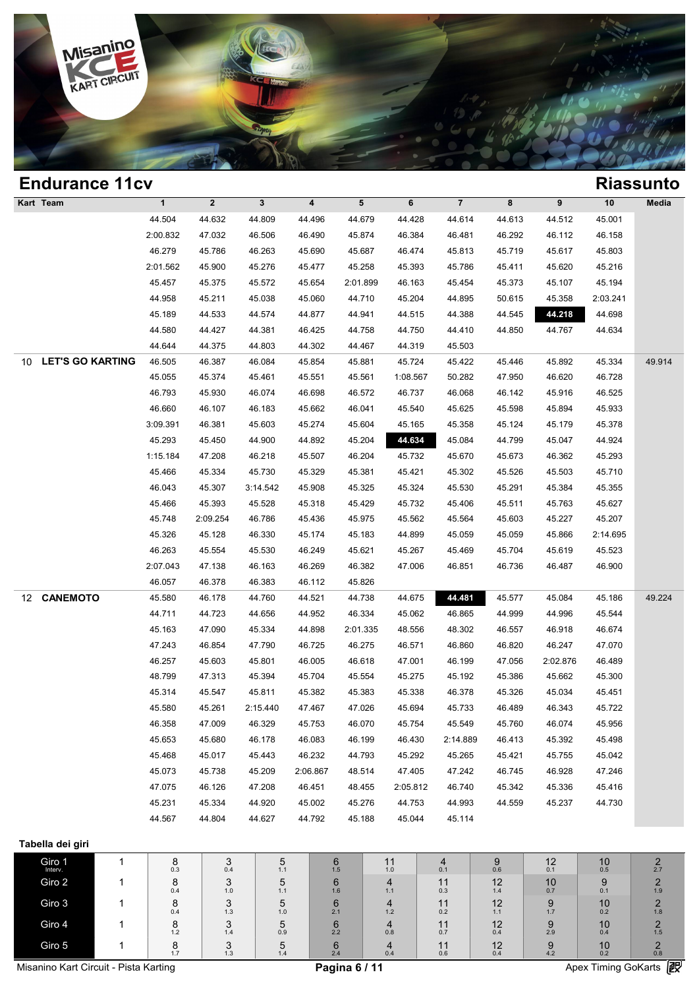

| <b>Endurance 11cv</b>         |              |              |                 |          |          |                       |          |                |               |              |               | <b>Riassunto</b>          |
|-------------------------------|--------------|--------------|-----------------|----------|----------|-----------------------|----------|----------------|---------------|--------------|---------------|---------------------------|
| Kart Team                     | $\mathbf{1}$ | $\mathbf{2}$ | $\mathbf{3}$    | 4        |          | 5                     | 6        | $\overline{7}$ | 8             | 9            | 10            | Media                     |
|                               | 44.504       | 44.632       | 44.809          | 44.496   | 44.679   | 44.428                |          | 44.614         | 44.613        | 44.512       | 45.001        |                           |
|                               | 2:00.832     | 47.032       | 46.506          | 46.490   | 45.874   | 46.384                |          | 46.481         | 46.292        | 46.112       | 46.158        |                           |
|                               | 46.279       | 45.786       | 46.263          | 45.690   | 45.687   | 46.474                |          | 45.813         | 45.719        | 45.617       | 45.803        |                           |
|                               | 2:01.562     | 45.900       | 45.276          | 45.477   | 45.258   | 45.393                |          | 45.786         | 45.411        | 45.620       | 45.216        |                           |
|                               | 45.457       | 45.375       | 45.572          | 45.654   | 2:01.899 | 46.163                |          | 45.454         | 45.373        | 45.107       | 45.194        |                           |
|                               | 44.958       | 45.211       | 45.038          | 45.060   | 44.710   | 45.204                |          | 44.895         | 50.615        | 45.358       | 2:03.241      |                           |
|                               | 45.189       | 44.533       | 44.574          | 44.877   | 44.941   | 44.515                |          | 44.388         | 44.545        | 44.218       | 44.698        |                           |
|                               | 44.580       | 44.427       | 44.381          | 46.425   | 44.758   | 44.750                |          | 44.410         | 44.850        | 44.767       | 44.634        |                           |
|                               | 44.644       | 44.375       | 44.803          | 44.302   |          | 44.467<br>44.319      |          | 45.503         |               |              |               |                           |
| <b>LET'S GO KARTING</b><br>10 | 46.505       | 46.387       | 46.084          | 45.854   | 45.881   | 45.724                |          | 45.422         | 45.446        | 45.892       | 45.334        | 49.914                    |
|                               | 45.055       | 45.374       | 45.461          | 45.551   | 45.561   | 1:08.567              |          | 50.282         | 47.950        | 46.620       | 46.728        |                           |
|                               | 46.793       | 45.930       | 46.074          | 46.698   |          | 46.572<br>46.737      |          | 46.068         | 46.142        | 45.916       | 46.525        |                           |
|                               | 46.660       | 46.107       | 46.183          | 45.662   | 46.041   | 45.540                |          | 45.625         | 45.598        | 45.894       | 45.933        |                           |
|                               | 3:09.391     | 46.381       | 45.603          | 45.274   | 45.604   | 45.165                |          | 45.358         | 45.124        | 45.179       | 45.378        |                           |
|                               | 45.293       | 45.450       | 44.900          | 44.892   | 45.204   | 44.634                |          | 45.084         | 44.799        | 45.047       | 44.924        |                           |
|                               | 1:15.184     | 47.208       | 46.218          | 45.507   | 46.204   | 45.732                |          | 45.670         | 45.673        | 46.362       | 45.293        |                           |
|                               | 45.466       | 45.334       | 45.730          | 45.329   | 45.381   | 45.421                |          | 45.302         | 45.526        | 45.503       | 45.710        |                           |
|                               | 46.043       | 45.307       | 3:14.542        | 45.908   | 45.325   | 45.324                |          | 45.530         | 45.291        | 45.384       | 45.355        |                           |
|                               | 45.466       | 45.393       | 45.528          | 45.318   | 45.429   | 45.732                |          | 45.406         | 45.511        | 45.763       | 45.627        |                           |
|                               | 45.748       | 2:09.254     | 46.786          | 45.436   |          | 45.975<br>45.562      |          | 45.564         | 45.603        | 45.227       | 45.207        |                           |
|                               | 45.326       | 45.128       | 46.330          | 45.174   | 45.183   | 44.899                |          | 45.059         | 45.059        | 45.866       | 2:14.695      |                           |
|                               | 46.263       | 45.554       | 45.530          | 46.249   | 45.621   | 45.267                |          | 45.469         | 45.704        | 45.619       | 45.523        |                           |
|                               | 2:07.043     | 47.138       | 46.163          | 46.269   |          | 46.382<br>47.006      |          | 46.851         | 46.736        | 46.487       | 46.900        |                           |
|                               | 46.057       | 46.378       | 46.383          | 46.112   |          | 45.826                |          |                |               |              |               |                           |
| 12 CANEMOTO                   | 45.580       | 46.178       | 44.760          | 44.521   | 44.738   | 44.675                |          | 44.481         | 45.577        | 45.084       | 45.186        | 49.224                    |
|                               | 44.711       | 44.723       | 44.656          | 44.952   | 46.334   | 45.062                |          | 46.865         | 44.999        | 44.996       | 45.544        |                           |
|                               | 45.163       | 47.090       | 45.334          | 44.898   | 2:01.335 | 48.556                |          | 48.302         | 46.557        | 46.918       | 46.674        |                           |
|                               | 47.243       | 46.854       | 47.790          | 46.725   | 46.275   | 46.571                |          | 46.860         | 46.820        | 46.247       | 47.070        |                           |
|                               | 46.257       | 45.603       | 45.801          | 46.005   | 46.618   | 47.001                |          | 46.199         | 47.056        | 2:02.876     | 46.489        |                           |
|                               | 48.799       | 47.313       | 45.394          | 45.704   | 45.554   | 45.275                |          | 45.192         | 45.386        | 45.662       | 45.300        |                           |
|                               | 45.314       | 45.547       | 45.811          | 45.382   | 45.383   | 45.338                |          | 46.378         | 45.326        | 45.034       | 45.451        |                           |
|                               | 45.580       | 45.261       | 2:15.440        | 47.467   | 47.026   | 45.694                |          | 45.733         | 46.489        | 46.343       | 45.722        |                           |
|                               | 46.358       | 47.009       | 46.329          | 45.753   |          | 46.070<br>45.754      |          | 45.549         | 45.760        | 46.074       | 45.956        |                           |
|                               | 45.653       | 45.680       | 46.178          | 46.083   | 46.199   | 46.430                |          | 2:14.889       | 46.413        | 45.392       | 45.498        |                           |
|                               | 45.468       | 45.017       | 45.443          | 46.232   |          | 44.793<br>45.292      |          | 45.265         | 45.421        | 45.755       | 45.042        |                           |
|                               | 45.073       | 45.738       | 45.209          | 2:06.867 |          | 48.514<br>47.405      |          | 47.242         | 46.745        | 46.928       | 47.246        |                           |
|                               | 47.075       | 46.126       | 47.208          | 46.451   |          | 48.455                | 2:05.812 | 46.740         | 45.342        | 45.336       | 45.416        |                           |
|                               | 45.231       | 45.334       | 44.920          | 45.002   | 45.276   | 44.753                |          | 44.993         | 44.559        | 45.237       | 44.730        |                           |
|                               | 44.567       | 44.804       | 44.627          | 44.792   |          | 45.044<br>45.188      |          | 45.114         |               |              |               |                           |
| Tabella dei giri              |              |              |                 |          |          |                       |          |                |               |              |               |                           |
| Giro 1<br>1<br>Interv.        | 8<br>0.3     | 3            | $\frac{5}{1.1}$ |          | 6<br>1.5 | 11                    |          | 4<br>0.1       | 9<br>0.6      | 12           | 10<br>$0.5\,$ | $\frac{2}{2.7}$           |
| Giro 2<br>1                   | 8            | 0.4<br>3     | 5               |          | 6        | 1.0<br>$\overline{4}$ |          | 11             | 12            | 0.1<br>10    | 9             | $\overline{2}$            |
| Giro 3<br>1                   | 0.4<br>8     | 1.0<br>3     | 1.1<br>5        |          | 1.6<br>6 | 1.1<br>4              |          | 0.3<br>11      | 1.4<br>12     | 0.7<br>9     | 0.1<br>10     | $1.9\,$                   |
|                               | 0.4          | 1.3          | $1.0\,$         |          | 2.1      | 1.2                   |          | 0.2            | 1.1           | $1.7\,$      | 0.2           | $\underset{1.8}{2}$       |
| Giro 4<br>1                   | 8<br>$1.2\,$ | 3<br>$1.4$   | 5<br>0.9        |          | 6<br>2.2 | 4<br>0.8              |          | 11<br>0.7      | 12<br>$0.4\,$ | 9<br>$2.9\,$ | 10<br>$0.4\,$ | $\underset{1.5}{2}$       |
| Giro 5<br>1                   | 8<br>1.7     | 3<br>1.3     | 5<br>$1.4\,$    |          | 6<br>2.4 | 4<br>$0.4\,$          |          | 11<br>0.6      | 12<br>0.4     | 9<br>$4.2\,$ | 10<br>$0.2\,$ | $\overline{c}$<br>$0.8\,$ |

 $\overline{0.8}$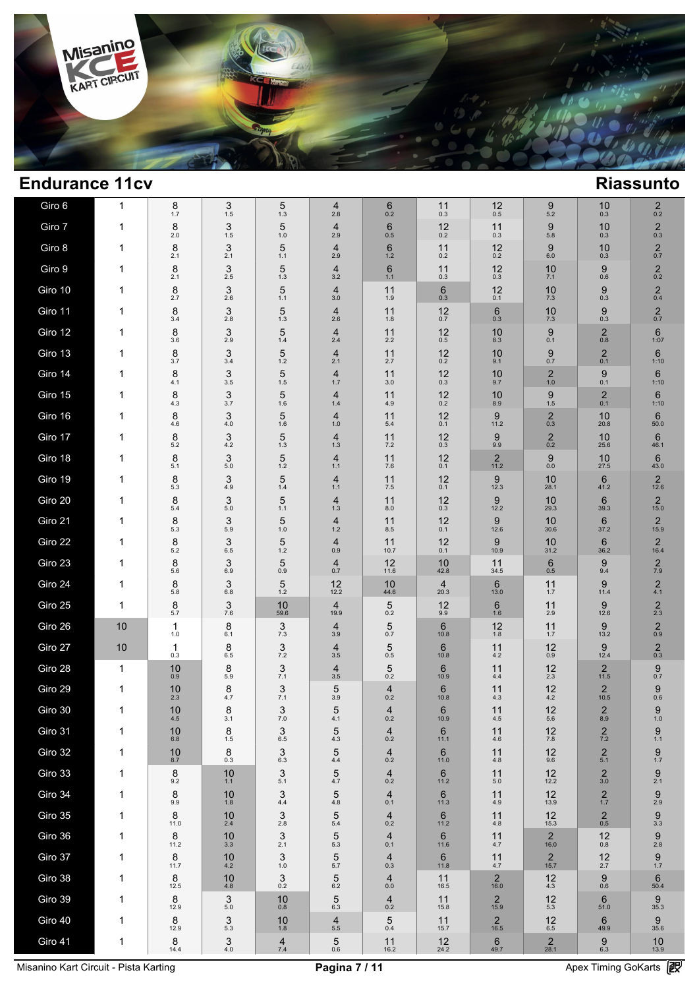

| Giro 6  | 1            | 8<br>1.7        | 3<br>1.5                         | 5<br>1.3              | $\overline{4}$<br>2.8          | 6<br>0.2              | 11<br>0.3              | 12<br>0.5                       | 9<br>$5.2$             | 10<br>0.3                       | $_{0.2}^{2}$                   |
|---------|--------------|-----------------|----------------------------------|-----------------------|--------------------------------|-----------------------|------------------------|---------------------------------|------------------------|---------------------------------|--------------------------------|
| Giro 7  | 1            | 8<br>2.0        | 3<br>1.5                         | 5<br>$1.0$            | $\overline{4}$<br>2.9          | 6<br>0.5              | 12<br>0.2              | 11<br>0.3                       | 9<br>5.8               | 10<br>0.3                       | $^{2}_{0.3}$                   |
| Giro 8  | 1            | 8<br>2.1        | 3<br>2.1                         | 5<br>1.1              | $\overline{4}$<br>2.9          | 6<br>1.2              | 11<br>0.2              | 12<br>0.2                       | 9<br>6.0               | 10<br>0.3                       | $\overline{\mathbf{c}}$<br>0.7 |
| Giro 9  | 1            | 8<br>2.1        | 3<br>2.5                         | 5<br>1.3              | $\overline{4}$<br>3.2          | 6<br>1.1              | 11<br>0.3              | 12<br>0.3                       | 10<br>7.1              | 9<br>0.6                        | $\overline{c}$<br>0.2          |
| Giro 10 | 1            | 8<br>2.7        | 3<br>2.6                         | 5<br>1.1              | $\overline{\mathbf{4}}$<br>3.0 | 11<br>1.9             | 6<br>0.3               | 12<br>0.1                       | 10<br>$7.3$            | 9<br>0.3                        | $\overline{\mathbf{c}}$<br>0.4 |
| Giro 11 | 1            | 8<br>3.4        | 3<br>2.8                         | 5<br>1.3              | $\overline{4}$<br>2.6          | 11<br>1.8             | 12<br>0.7              | 6<br>0.3                        | 10<br>7.3              | 9<br>0.3                        | $\overline{\mathbf{c}}$<br>0.7 |
| Giro 12 | 1            | 8<br>3.6        | 3<br>2.9                         | 5<br>1.4              | $\overline{4}$<br>2.4          | 11<br>2.2             | 12<br>0.5              | 10<br>8.3                       | 9<br>0.1               | $\overline{2}$<br>0.8           | 6<br>1:07                      |
| Giro 13 | 1            | 8<br>3.7        | 3<br>3.4                         | 5<br>1.2              | $\overline{4}$<br>2.1          | 11<br>2.7             | 12<br>0.2              | 10<br>9.1                       | 9<br>0.7               | $^{2}_{0.1}$                    | 6<br>1:10                      |
| Giro 14 | 1            | 8<br>4.1        | 3<br>3.5                         | 5<br>1.5              | $\overline{4}$<br>1.7          | 11<br>3.0             | 12<br>0.3              | 10<br>9.7                       | $_{1.0}^{2}$           | $^{9}_{0.1}$                    | 6<br>1:10                      |
| Giro 15 | 1            | 8<br>4.3        | 3<br>3.7                         | 5<br>1.6              | $\overline{4}$<br>1.4          | 11<br>4.9             | 12<br>0.2              | 10<br>8.9                       | 9<br>1.5               | $^{2}_{0.1}$                    | 6<br>1:10                      |
| Giro 16 | 1            | 8<br>4.6        | 3<br>4.0                         | 5<br>1.6              | $\overline{4}$<br>1.0          | 11<br>5.4             | 12<br>0.1              | 9<br>11.2                       | $\mathbf 2$<br>0.3     | 10<br>20.8                      | $6\phantom{1}$<br>50.0         |
| Giro 17 | 1            | 8<br>5.2        | 3<br>4.2                         | 5<br>1.3              | $\overline{4}$<br>1.3          | 11<br>7.2             | 12<br>0.3              | 9<br>9.9                        | $_{0.2}^{2}$           | 10<br>25.6                      | $6\phantom{1}$<br>46.1         |
| Giro 18 | 1            | 8<br>5.1        | 3<br>5.0                         | 5<br>1.2              | $\overline{4}$<br>1.1          | 11<br>7.6             | 12<br>0.1              | $^{2}_{11.2}$                   | 9<br>$0.0\,$           | 10<br>27.5                      | $6\phantom{1}$<br>43.0         |
| Giro 19 | 1            | 8<br>5.3        | 3<br>4.9                         | 5<br>1.4              | $\overline{4}$<br>1.1          | 11<br>7.5             | 12<br>0.1              | 9<br>12.3                       | 10<br>28.1             | 6<br>41.2                       | $\overline{2}$<br>12.6         |
| Giro 20 | 1            | 8<br>5.4        | 3<br>$5.0\,$                     | 5<br>1.1              | $\overline{4}$<br>1.3          | 11<br>8.0             | 12<br>0.3              | 9<br>12.2                       | 10<br>29.3             | $6\phantom{1}6$<br>39.3         | $\overline{c}$<br>15.0         |
| Giro 21 | 1            | 8<br>5.3        | 3<br>5.9                         | $\sqrt{5}$<br>$1.0\,$ | $\overline{4}$<br>$1.2$        | 11<br>8.5             | 12<br>0.1              | 9<br>12.6                       | 10<br>$30.6\,$         | $6\phantom{1}6$<br>37.2         | $\overline{c}$<br>15.9         |
| Giro 22 | 1            | 8<br>$5.2\,$    | 3<br>6.5                         | $\sqrt{5}$<br>1.2     | $\overline{4}$<br>0.9          | 11<br>10.7            | 12<br>0.1              | 9<br>10.9                       | 10<br>31.2             | 6<br>36.2                       | $\overline{c}$<br>16.4         |
| Giro 23 | 1            | 8<br>5.6        | 3<br>6.9                         | 5<br>0.9              | $\overline{4}$<br>0.7          | 12<br>11.6            | 10<br>42.8             | 11<br>34.5                      | 6<br>0.5               | 9<br>9.4                        | $\overline{c}$<br>7.9          |
| Giro 24 | 1            | 8<br>5.8        | 3<br>6.8                         | 5<br>1.2              | 12<br>12.2                     | 10<br>44.6            | 4<br>20.3              | 6<br>13.0                       | 11<br>1.7              | 9<br>11.4                       | $\overline{\mathbf{c}}$<br>4.1 |
| Giro 25 | 1            | 8<br>5.7        | 3<br>7.6                         | 10<br>59.6            | $\overline{4}$<br>19.9         | 5<br>0.2              | 12<br>9.9              | 6<br>1.6                        | 11<br>2.9              | 9<br>12.6                       | $\frac{2}{2.3}$                |
| Giro 26 | 10           | 1<br>1.0        | 8<br>6.1                         | 3<br>$7.3$            | $\overline{4}$<br>3.9          | 5<br>0.7              | 6<br>10.8              | 12<br>$1.8$                     | 11<br>1.7              | 9<br>13.2                       | $\overline{\mathbf{c}}$<br>0.9 |
| Giro 27 | 10           | 1<br>0.3        | 8<br>6.5                         | 3<br>7.2              | $\overline{4}$<br>3.5          | 5<br>0.5              | 6<br>10.8              | 11<br>4.2                       | 12<br>0.9              | 9<br>12.4                       | $^{2}_{0.3}$                   |
| Giro 28 | $\mathbf{1}$ | 10<br>0.9       | 8<br>5.9                         | 3<br>7.1              | $\overline{4}$<br>3.5          | 5<br>0.2              | 6<br>10.9              | 11<br>4.4                       | 12<br>2.3              | $\frac{2}{11.5}$                | 9<br>0.7                       |
| Giro 29 | 1            | 10<br>2.3       | 8<br>4.7                         | 3<br>7.1              | 5<br>3.9                       | 4<br>0.2              | 6<br>10.8              | 11<br>4.3                       | 12<br>$4.2\,$          | $\frac{2}{10.5}$                | $9\atop{0.6}$                  |
| Giro 30 | 1            | 10<br>4.5       | 8<br>3.1                         | 3<br>7.0              | 5<br>4.1                       | 4<br>0.2              | 6<br>10.9              | 11<br>4.5                       | 12<br>5.6              | $\underset{8.9}{\underline{2}}$ | $\underset{1.0}{9}$            |
| Giro 31 | 1            | $^{10}_{6.8}$   | $8_{1.5}$                        | $\mathfrak{Z}_{6.5}$  | $\frac{5}{4.3}$                | 4<br>0.2              | $6\phantom{1}$<br>11.1 | 11<br>4.6                       | $^{12}_{7.8}$          | $\frac{2}{7.2}$                 | $9$ <sub>1.1</sub>             |
| Giro 32 | 1            | $^{10}_{8.7}$   | 8<br>0.3                         | $\mathfrak{Z}_{6.3}$  | $\frac{5}{4.4}$                | $\overline{4}$<br>0.2 | $6\phantom{1}$<br>11.0 | 11<br>4.8                       | $^{12}_{9.6}$          | $\frac{2}{5.1}$                 | $9$<br>1.7                     |
| Giro 33 | 1            | 8<br>$9.2\,$    | 10<br>$1.1$                      | 3<br>5.1              | 5<br>$4.7\,$                   | 4<br>0.2              | 6<br>11.2              | 11<br>5.0                       | 12<br>12.2             | $\frac{2}{3.0}$                 | $\underset{2.1}{9}$            |
| Giro 34 | 1            | 8<br>9.9        | 10<br>$1.8$                      | 3<br>$4.4\,$          | $\frac{5}{4.8}$                | $\overline{4}$<br>0.1 | 6<br>11.3              | 11<br>4.9                       | 12<br>13.9             | $\frac{2}{1.7}$                 | $\underset{2.9}{9}$            |
| Giro 35 | 1            | 8<br>11.0       | 10<br>2.4                        | 3<br>$2.8\,$          | $\frac{5}{5.4}$                | 4<br>$0.2\,$          | 6<br>11.2              | 11<br>$4.8$                     | 12<br>15.3             | $\frac{2}{0.5}$                 | $\underset{3.3}{9}$            |
| Giro 36 | 1            | $\bf 8$<br>11.2 | 10<br>$3.3\,$                    | $\frac{3}{2.1}$       | $\frac{5}{5.3}$                | $\overline{4}$<br>0.1 | 6<br>11.6              | 11<br>4.7                       | $\frac{2}{16.0}$       | 12<br>$0.8\,$                   | $9$ $_{2.8}$                   |
| Giro 37 | 1            | 8<br>11.7       | 10<br>4.2                        | $\sqrt{3}$<br>$1.0\,$ | $\mathbf 5$<br>$5.7\,$         | 4<br>0.3              | 6<br>11.8              | 11<br>4.7                       | $\overline{c}$<br>15.7 | 12<br>$2.7\,$                   | 9<br>$1.7$                     |
| Giro 38 | 1            | 8<br>12.5       | 10<br>$4.8\,$                    | 3<br>0.2              | $\frac{5}{6.2}$                | 4<br>$0.0\,$          | 11<br>16.5             | $\sqrt{2}$<br>16.0              | 12<br>4.3              | 9<br>$0.6\,$                    | 6<br>50.4                      |
| Giro 39 | 1            | 8<br>12.9       | 3<br>$5.0\,$                     | 10<br>$0.8\,$         | $\frac{5}{6.3}$                | 4<br>0.2              | 11<br>15.8             | $\overline{c}$<br>15.9          | 12<br>$5.3\,$          | 6<br>51.0                       | 9<br>35.3                      |
| Giro 40 | 1            | 8<br>12.9       | 3<br>$5.3\,$                     | 10<br>$1.8$           | 4<br>5.5                       | 5<br>0.4              | 11<br>15.7             | $\overline{\mathbf{c}}$<br>16.5 | 12<br>6.5              | 6<br>49.9                       | 9<br>35.6                      |
| Giro 41 | 1            | $\bf 8$<br>14.4 | $\ensuremath{\mathsf{3}}$<br>4.0 | $\overline{4}$<br>7.4 | $\mathbf 5$<br>0.6             | 11<br>16.2            | 12<br>24.2             | $6\n49.7$                       | $\frac{2}{28.1}$       | $\frac{9}{6.3}$                 | 10<br>13.9                     |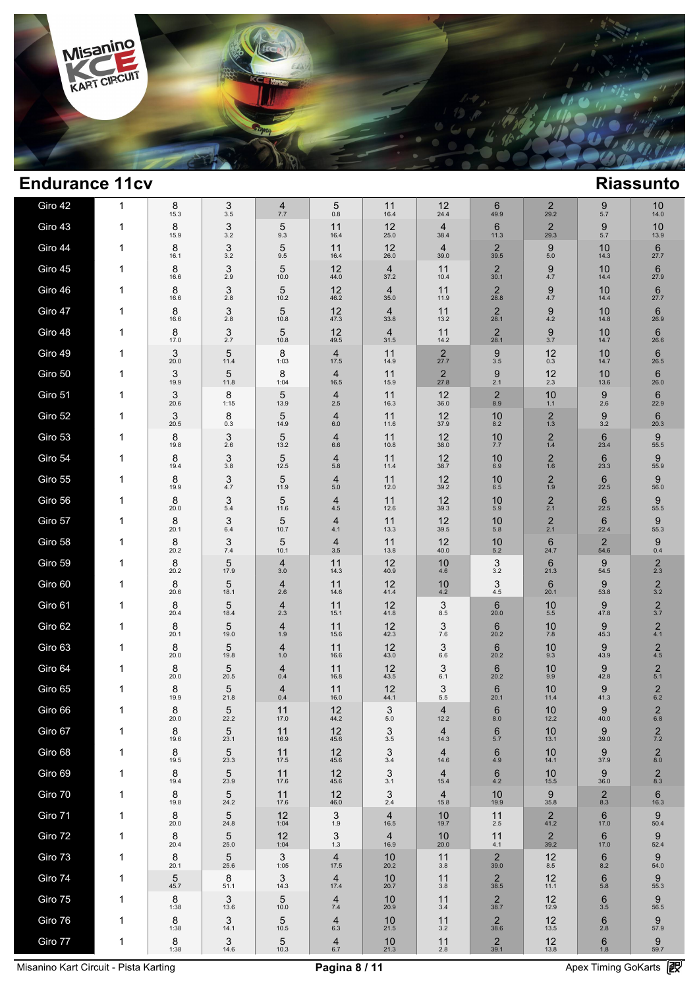

| Giro 42 | 1  | 8<br>15.3 | 3<br>3.5               | 4<br>7.7              | 5<br>0.8                | 11<br>16.4             | 12<br>24.4             | 6<br>49.9                      | $\overline{2}$<br>29.2         | 9<br>5.7                 | 10<br>14.0             |
|---------|----|-----------|------------------------|-----------------------|-------------------------|------------------------|------------------------|--------------------------------|--------------------------------|--------------------------|------------------------|
| Giro 43 | 1  | 8<br>15.9 | 3<br>3.2               | 5<br>9.3              | 11<br>16.4              | 12<br>25.0             | 4<br>38.4              | 6<br>11.3                      | $\overline{2}$<br>29.3         | 9<br>5.7                 | 10<br>13.9             |
| Giro 44 | -1 | 8<br>16.1 | 3<br>3.2               | 5<br>9.5              | 11<br>16.4              | 12<br>26.0             | $\overline{4}$<br>39.0 | $\overline{2}$<br>39.5         | 9<br>$5.0\,$                   | 10<br>14.3               | 6<br>27.7              |
| Giro 45 | 1  | 8<br>16.6 | 3<br>2.9               | 5<br>10.0             | 12<br>44.0              | $\overline{4}$<br>37.2 | 11<br>10.4             | $\overline{2}$<br>30.1         | 9<br>4.7                       | 10<br>14.4               | 6<br>27.9              |
| Giro 46 | 1  | 8<br>16.6 | 3<br>2.8               | 5<br>10.2             | 12<br>46.2              | $\overline{4}$<br>35.0 | 11<br>11.9             | $\overline{2}$<br>28.8         | 9<br>4.7                       | 10<br>14.4               | 6<br>27.7              |
| Giro 47 | 1  | 8<br>16.6 | 3<br>2.8               | 5<br>10.8             | 12<br>47.3              | $\overline{4}$<br>33.8 | 11<br>13.2             | $\overline{2}$<br>28.1         | 9<br>4.2                       | 10<br>14.8               | 6<br>26.9              |
| Giro 48 | 1  | 8<br>17.0 | 3<br>2.7               | 5<br>10.8             | 12<br>49.5              | $\overline{4}$<br>31.5 | 11<br>14.2             | $\overline{2}$<br>28.1         | 9<br>3.7                       | 10<br>14.7               | $6\phantom{1}$<br>26.6 |
| Giro 49 | 1  | 3<br>20.0 | 5<br>11.4              | 8<br>1:03             | 4<br>17.5               | 11<br>14.9             | $\overline{2}$<br>27.7 | 9<br>3.5                       | 12<br>0.3                      | 10<br>14.7               | 6<br>26.5              |
| Giro 50 | 1  | 3<br>19.9 | 5<br>11.8              | 8<br>1:04             | 4<br>16.5               | 11<br>15.9             | $\overline{2}$<br>27.8 | 9<br>2.1                       | 12<br>2.3                      | 10<br>13.6               | $6\phantom{1}$<br>26.0 |
| Giro 51 | 1  | 3<br>20.6 | 8<br>1:15              | 5<br>13.9             | 4<br>2.5                | 11<br>16.3             | 12<br>36.0             | $\overline{\mathbf{c}}$<br>8.9 | 10<br>1.1                      | 9<br>2.6                 | 6<br>22.9              |
| Giro 52 | 1  | 3<br>20.5 | 8<br>0.3               | 5<br>14.9             | $\overline{4}$<br>6.0   | 11<br>11.6             | 12<br>37.9             | 10<br>8.2                      | $\overline{2}$<br>$1.3$        | 9<br>3.2                 | 6<br>20.3              |
| Giro 53 | 1  | 8<br>19.8 | 3<br>2.6               | 5<br>13.2             | $\overline{4}$<br>6.6   | 11<br>10.8             | 12<br>38.0             | 10<br>7.7                      | $\overline{\mathbf{c}}$<br>1.4 | 6<br>23.4                | 9<br>55.5              |
| Giro 54 | 1  | 8<br>19.4 | 3<br>3.8               | 5<br>12.5             | $\overline{4}$<br>5.8   | 11<br>11.4             | 12<br>38.7             | 10<br>6.9                      | $\overline{2}$<br>1.6          | $6\phantom{1}$<br>23.3   | 9<br>55.9              |
| Giro 55 | 1  | 8<br>19.9 | 3<br>4.7               | 5<br>11.9             | $\overline{4}$<br>$5.0$ | 11<br>12.0             | 12<br>39.2             | 10<br>6.5                      | $\overline{2}$<br>1.9          | 6<br>22.5                | 9<br>56.0              |
| Giro 56 | 1  | 8<br>20.0 | 3<br>$5.4\,$           | 5<br>11.6             | $\overline{4}$<br>4.5   | 11<br>12.6             | 12<br>39.3             | 10<br>5.9                      | $\overline{\mathbf{c}}$<br>2.1 | 6<br>22.5                | 9<br>55.5              |
| Giro 57 | 1  | 8<br>20.1 | 3<br>6.4               | 5<br>10.7             | $\overline{4}$<br>4.1   | 11<br>13.3             | 12<br>39.5             | 10<br>5.8                      | $\frac{2}{2.1}$                | 6<br>22.4                | 9<br>55.3              |
| Giro 58 | 1  | 8<br>20.2 | 3<br>$7.4$             | 5<br>10.1             | 4<br>3.5                | 11<br>13.8             | 12<br>40.0             | 10<br>5.2                      | $6\phantom{1}6$<br>24.7        | $\overline{2}$<br>54.6   | 9<br>0.4               |
| Giro 59 | 1  | 8<br>20.2 | 5<br>17.9              | $\overline{4}$<br>3.0 | 11<br>14.3              | 12<br>40.9             | 10<br>4.6              | 3<br>3.2                       | 6<br>21.3                      | 9<br>54.5                | $\overline{2}$<br>2.3  |
| Giro 60 | 1  | 8<br>20.6 | 5<br>18.1              | $\overline{4}$<br>2.6 | 11<br>14.6              | 12<br>41.4             | 10<br>4.2              | 3<br>4.5                       | $6\phantom{1}6$<br>20.1        | 9<br>53.8                | $\underset{3.2}{2}$    |
| Giro 61 | 1  | 8<br>20.4 | 5<br>18.4              | $\overline{4}$<br>2.3 | 11<br>15.1              | 12<br>41.8             | 3<br>8.5               | 6<br>20.0                      | 10<br>5.5                      | 9<br>47.8                | $\frac{2}{3.7}$        |
| Giro 62 | 1  | 8<br>20.1 | 5<br>19.0              | $\overline{4}$<br>1.9 | 11<br>15.6              | 12<br>42.3             | 3<br>7.6               | 6<br>20.2                      | 10<br>7.8                      | 9<br>45.3                | $\overline{c}$<br>4.1  |
| Giro 63 | 1  | 8<br>20.0 | 5<br>19.8              | $\overline{4}$<br>1.0 | 11<br>16.6              | 12<br>43.0             | 3<br>6.6               | $6\phantom{1}$<br>20.2         | 10<br>9.3                      | 9<br>43.9                | $\overline{c}$<br>4.5  |
| Giro 64 | 1  | 8<br>20.0 | 5<br>20.5              | $\overline{4}$<br>0.4 | 11<br>16.8              | 12<br>43.5             | 3<br>6.1               | $6\phantom{1}$<br>20.2         | 10<br>9.9                      | 9<br>42.8                | $\overline{c}$<br>5.1  |
| Giro 65 | 1  | 8<br>19.9 | 5<br>21.8              | $\overline{4}$<br>0.4 | 11<br>16.0              | 12<br>44.1             | 3<br>5.5               | $6\phantom{1}$<br>20.1         | 10<br>11.4                     | 9<br>41.3                | $\overline{2}$<br>6.2  |
| Giro 66 | 1  | 8<br>20.0 | 5<br>22.2              | 11<br>17.0            | 12<br>44.2              | 3<br>5.0               | 4<br>12.2              | 6<br>8.0                       | 10<br>12.2                     | 9<br>40.0                | $\overline{c}$<br>6.8  |
| Giro 67 | 1  | 8<br>19.6 | 5<br>23.1              | 11<br>16.9            | 12<br>45.6              | 3<br>$3.5\,$           | $\overline{4}$<br>14.3 | 6<br>5.7                       | 10<br>13.1                     | 9<br>39.0                | $\frac{2}{7.2}$        |
| Giro 68 | 1  | 8<br>19.5 | $\overline{5}$<br>23.3 | 11<br>17.5            | 12<br>45.6              | 3<br>3.4               | $\overline{4}$<br>14.6 | 6<br>4.9                       | 10<br>14.1                     | $\boldsymbol{9}$<br>37.9 | $\sqrt{2}$<br>8.0      |
| Giro 69 | 1  | 8<br>19.4 | $\overline{5}$<br>23.9 | 11<br>17.6            | 12<br>45.6              | 3<br>3.1               | $\overline{4}$<br>15.4 | 6<br>4.2                       | 10<br>15.5                     | 9<br>36.0                | $\overline{2}$<br>8.3  |
| Giro 70 | 1  | 8<br>19.8 | $\sqrt{5}$<br>24.2     | 11<br>17.6            | 12<br>46.0              | 3<br>2.4               | 4<br>15.8              | 10<br>19.9                     | 9<br>35.8                      | $\overline{c}$<br>8.3    | 6<br>16.3              |
| Giro 71 | 1  | 8<br>20.0 | $\sqrt{5}$<br>24.8     | 12<br>1:04            | 3<br>1.9                | $\overline{4}$<br>16.5 | 10<br>19.7             | 11<br>$2.5\,$                  | $\overline{2}$<br>41.2         | 6<br>17.0                | 9<br>50.4              |
| Giro 72 | 1  | 8<br>20.4 | $\overline{5}$<br>25.0 | 12<br>1:04            | 3<br>1.3                | $\overline{4}$<br>16.9 | 10<br>20.0             | 11<br>4.1                      | $\overline{2}$<br>39.2         | 6<br>17.0                | 9<br>52.4              |
| Giro 73 | 1  | 8<br>20.1 | 5<br>25.6              | 3<br>1:05             | 4<br>17.5               | 10<br>20.2             | 11<br>3.8              | $\overline{2}$<br>39.0         | 12<br>8.5                      | 6<br>8.2                 | 9<br>54.0              |
| Giro 74 | 1  | 5<br>45.7 | 8<br>51.1              | 3<br>14.3             | 4<br>17.4               | 10<br>20.7             | 11<br>3.8              | $\sqrt{2}$<br>38.5             | 12<br>11.1                     | 6<br>$5.8\,$             | 9<br>55.3              |
| Giro 75 | 1  | 8<br>1:38 | 3<br>13.6              | 5<br>10.0             | 4<br>7.4                | 10<br>20.9             | 11<br>3.4              | $\frac{2}{38.7}$               | 12<br>12.9                     | 6<br>$3.5\,$             | 9<br>56.5              |
| Giro 76 | 1  | 8<br>1:38 | 3<br>14.1              | 5<br>10.5             | 4<br>6.3                | 10<br>21.5             | 11<br>3.2              | $\overline{2}$<br>38.6         | 12<br>13.5                     | 6<br>$2.8$               | 9<br>57.9              |
| Giro 77 | 1  | 8<br>1:38 | 3<br>14.6              | 5<br>10.3             | 4<br>$6.7\,$            | 10<br>21.3             | 11<br>2.8              | $\overline{c}$<br>39.1         | 12<br>13.8                     | $6 \atop 1.8$            | 9<br>59.7              |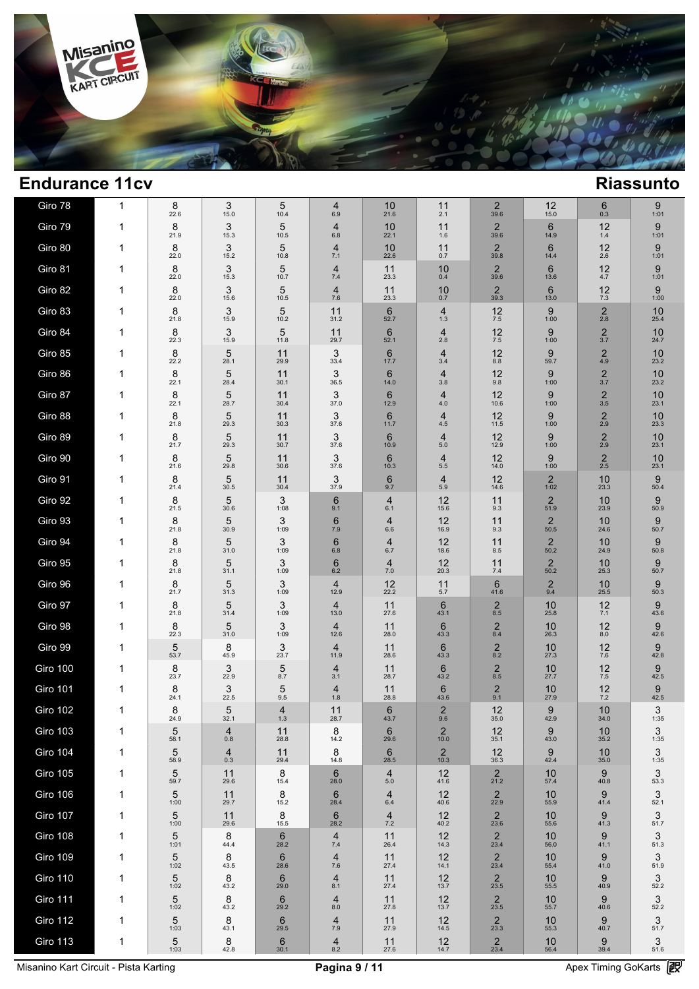

| Giro 78         | 1 | 8<br>22.6          | 3<br>15.0    | 5<br>10.4             | 4<br>6.9                  | 10<br>21.6              | 11<br>2.1               | $\overline{2}$<br>39.6         | 12<br>15.0                 | 6<br>0.3              | 9<br>1:01            |
|-----------------|---|--------------------|--------------|-----------------------|---------------------------|-------------------------|-------------------------|--------------------------------|----------------------------|-----------------------|----------------------|
| Giro 79         | 1 | 8<br>21.9          | 3<br>15.3    | 5<br>10.5             | $\overline{4}$<br>6.8     | 10<br>22.1              | 11<br>1.6               | $\overline{2}$<br>39.6         | 6<br>14.9                  | 12<br>$1.4$           | 9<br>1:01            |
| Giro 80         | 1 | 8<br>22.0          | 3<br>15.2    | 5<br>10.8             | $\overline{4}$<br>7.1     | 10<br>22.6              | 11<br>0.7               | $\overline{2}$<br>39.8         | 6<br>14.4                  | 12<br>2.6             | 9<br>1:01            |
| Giro 81         | 1 | 8<br>22.0          | 3<br>15.3    | 5<br>10.7             | $\overline{4}$<br>7.4     | 11<br>23.3              | 10<br>0.4               | $\overline{2}$<br>39.6         | 6<br>13.6                  | 12<br>4.7             | 9<br>1:01            |
| Giro 82         | 1 | 8<br>22.0          | 3<br>15.6    | 5<br>10.5             | $\overline{4}$<br>7.6     | 11<br>23.3              | 10<br>0.7               | $\overline{2}$<br>39.3         | 6<br>13.0                  | 12<br>$7.3$           | 9<br>1:00            |
| Giro 83         | 1 | 8<br>21.8          | 3<br>15.9    | 5<br>10.2             | 11<br>31.2                | 6<br>52.7               | $\overline{4}$<br>1.3   | 12<br>$7.5\,$                  | 9<br>1:00                  | $\overline{c}$<br>2.8 | 10<br>25.4           |
| Giro 84         | 1 | 8<br>22.3          | 3<br>15.9    | 5<br>11.8             | 11<br>29.7                | $6\phantom{1}6$<br>52.1 | $\overline{4}$<br>2.8   | 12<br>$7.5\,$                  | 9<br>1:00                  | $\mathbf 2$<br>3.7    | 10<br>24.7           |
| Giro 85         | 1 | 8<br>22.2          | 5<br>28.1    | 11<br>29.9            | 3<br>33.4                 | 6<br>17.7               | $\overline{4}$<br>3.4   | 12<br>8.8                      | 9<br>59.7                  | $2\phantom{00}$ 4.9   | 10<br>23.2           |
| Giro 86         | 1 | 8<br>22.1          | 5<br>28.4    | 11<br>30.1            | 3<br>36.5                 | 6<br>14.0               | $\overline{4}$<br>3.8   | 12<br>9.8                      | 9<br>1:00                  | $\frac{2}{3.7}$       | $10$<br>23.2         |
| Giro 87         | 1 | 8<br>22.1          | 5<br>28.7    | 11<br>30.4            | 3<br>37.0                 | 6<br>12.9               | $\overline{4}$<br>4.0   | 12<br>10.6                     | 9<br>1:00                  | $\underset{3.5}{2}$   | 10<br>23.1           |
| Giro 88         | 1 | 8<br>21.8          | 5<br>29.3    | 11<br>30.3            | 3<br>37.6                 | 6<br>11.7               | $\overline{4}$<br>4.5   | 12<br>11.5                     | 9<br>1:00                  | $\overline{2}$<br>2.9 | 10<br>23.3           |
| Giro 89         | 1 | 8<br>21.7          | 5<br>29.3    | 11<br>30.7            | 3<br>37.6                 | 6<br>10.9               | $\overline{4}$<br>5.0   | 12<br>12.9                     | 9<br>1:00                  | $\overline{2}$<br>2.9 | 10<br>23.1           |
| Giro 90         | 1 | 8<br>21.6          | 5<br>29.8    | 11<br>30.6            | 3<br>37.6                 | 6<br>10.3               | $\overline{4}$<br>$5.5$ | 12<br>14.0                     | 9<br>1:00                  | $\frac{2}{2.5}$       | 10<br>23.1           |
| Giro 91         | 1 | 8<br>21.4          | 5<br>30.5    | 11<br>30.4            | 3<br>37.9                 | $6\phantom{1}6$<br>9.7  | 4<br>5.9                | 12<br>14.6                     | $\overline{2}$<br>1:02     | 10<br>23.3            | 9<br>50.4            |
| Giro 92         | 1 | 8<br>21.5          | 5<br>30.6    | 3<br>1:08             | $6\phantom{1}$<br>9.1     | $\overline{4}$<br>6.1   | 12<br>15.6              | 11<br>9.3                      | $\overline{c}$<br>51.9     | 10<br>23.9            | 9<br>50.9            |
| Giro 93         | 1 | 8<br>21.8          | 5<br>30.9    | 3<br>1:09             | 6<br>7.9                  | $\overline{4}$<br>6.6   | 12<br>16.9              | 11<br>9.3                      | $\overline{c}$<br>$50.5\,$ | 10<br>24.6            | 9<br>50.7            |
| Giro 94         | 1 | 8<br>21.8          | 5<br>31.0    | 3<br>1:09             | 6<br>6.8                  | $\overline{4}$<br>6.7   | 12<br>18.6              | 11<br>8.5                      | $\mathbf 2$<br>50.2        | 10<br>24.9            | 9<br>50.8            |
| Giro 95         | 1 | 8<br>21.8          | 5<br>31.1    | 3<br>1:09             | 6<br>6.2                  | 4<br>7.0                | 12<br>20.3              | 11<br>7.4                      | $\overline{2}$<br>50.2     | 10<br>25.3            | 9<br>50.7            |
| Giro 96         | 1 | 8<br>21.7          | 5<br>31.3    | 3<br>1:09             | $\overline{4}$<br>12.9    | 12<br>22.2              | 11<br>5.7               | 6<br>41.6                      | $\overline{2}$<br>9.4      | 10<br>25.5            | 9<br>50.3            |
| Giro 97         | 1 | 8<br>21.8          | 5<br>31.4    | 3<br>1:09             | $\overline{4}$<br>13.0    | 11<br>27.6              | 6<br>43.1               | $\overline{2}$<br>8.5          | 10<br>25.8                 | 12<br>7.1             | 9<br>43.6            |
| Giro 98         | 1 | 8<br>22.3          | 5<br>31.0    | 3<br>1:09             | $\overline{4}$<br>12.6    | 11<br>28.0              | 6<br>43.3               | $\overline{2}$<br>8.4          | 10<br>26.3                 | 12<br>$8.0\,$         | 9<br>42.6            |
| Giro 99         | 1 | 5<br>53.7          | 8<br>45.9    | 3<br>23.7             | $\overline{4}$<br>11.9    | 11<br>28.6              | 6<br>43.3               | $^{2}_{8.2}$                   | 10<br>27.3                 | 12<br>7.6             | 9<br>42.8            |
| Giro 100        | 1 | 8<br>23.7          | 3<br>22.9    | 5<br>8.7              | $\overline{4}$<br>3.1     | 11<br>28.7              | 6<br>43.2               | $^{2}_{8.5}$                   | 10<br>27.7                 | 12<br>7.5             | 9<br>42.5            |
| <b>Giro 101</b> | 1 | 8<br>24.1          | 3<br>22.5    | 5<br>9.5              | $\overline{4}$<br>1.8     | 11<br>28.8              | 6<br>43.6               | $\overline{\mathbf{c}}$<br>9.1 | 10<br>27.9                 | 12<br>7.2             | 9<br>42.5            |
| <b>Giro 102</b> | 1 | 8<br>24.9          | 5<br>32.1    | $\overline{4}$<br>1.3 | 11<br>28.7                | 6<br>43.7               | $\overline{2}$<br>9.6   | 12<br>35.0                     | 9<br>42.9                  | 10<br>34.0            | 3<br>1:35            |
| Giro 103        | 1 | 5<br>58.1          | 4<br>$0.8\,$ | 11<br>28.8            | 8<br>14.2                 | 6<br>29.6               | 2<br>10.0               | 12<br>35.1                     | 9<br>43.0                  | 10<br>35.2            | 3<br>1:35            |
| Giro 104        | 1 | 5<br>58.9          | 4<br>$0.3\,$ | 11<br>29.4            | 8<br>14.8                 | 6<br>28.5               | $\overline{2}$<br>10.3  | 12<br>36.3                     | 9<br>42.4                  | 10<br>35.0            | 3<br>1:35            |
| <b>Giro 105</b> | 1 | 5<br>59.7          | 11<br>29.6   | 8<br>15.4             | 6<br>28.0                 | $\overline{4}$<br>5.0   | 12<br>41.6              | $\overline{2}$<br>21.2         | 10<br>57.4                 | 9<br>40.8             | 3<br>53.3            |
| <b>Giro 106</b> | 1 | 5<br>1:00          | 11<br>29.7   | 8<br>15.2             | 6<br>28.4                 | 4<br>6.4                | 12<br>40.6              | $\overline{2}$<br>22.9         | 10<br>55.9                 | 9<br>41.4             | 3<br>52.1            |
| <b>Giro 107</b> | 1 | 5<br>1:00          | 11<br>29.6   | 8<br>15.5             | 6<br>28.2                 | $\overline{4}$<br>7.2   | 12<br>40.2              | $\overline{2}$<br>23.6         | 10<br>55.6                 | 9<br>41.3             | 3<br>51.7            |
| Giro 108        | 1 | 5<br>1:01          | 8<br>44.4    | 6<br>28.2             | 4<br>$7.4$                | 11<br>26.4              | 12<br>14.3              | $\overline{2}$<br>23.4         | 10<br>56.0                 | 9<br>41.1             | 3<br>51.3            |
| <b>Giro 109</b> | 1 | 5<br>1:02          | 8<br>43.5    | 6<br>28.6             | $\overline{4}$<br>$7.6$   | 11<br>27.4              | 12<br>14.1              | $\overline{c}$<br>23.4         | 10<br>55.4                 | 9<br>41.0             | $\mathbf{3}$<br>51.9 |
| <b>Giro 110</b> | 1 | $\sqrt{5}$<br>1:02 | 8<br>43.2    | 6<br>29.0             | 4<br>8.1                  | 11<br>27.4              | 12<br>13.7              | $\sqrt{2}$<br>23.5             | 10<br>55.5                 | 9<br>40.9             | 3<br>52.2            |
| <b>Giro 111</b> | 1 | 5<br>1:02          | 8<br>43.2    | 6<br>29.2             | $\overline{4}$<br>$8.0\,$ | 11<br>27.8              | 12<br>13.7              | $\overline{c}$<br>23.5         | 10<br>55.7                 | 9<br>40.6             | 3<br>52.2            |
| <b>Giro 112</b> | 1 | 5<br>1:03          | 8<br>43.1    | 6<br>29.5             | 4<br>$7.9$                | 11<br>27.9              | 12<br>14.5              | $\sqrt{2}$<br>23.3             | 10<br>55.3                 | 9<br>40.7             | 3<br>51.7            |
| <b>Giro 113</b> | 1 | 5<br>1:03          | 8<br>42.8    | 6<br>30.1             | 4<br>$8.2\,$              | 11<br>27.6              | 12<br>14.7              | $\overline{2}$<br>23.4         | 10<br>56.4                 | 9<br>39.4             | 3<br>51.6            |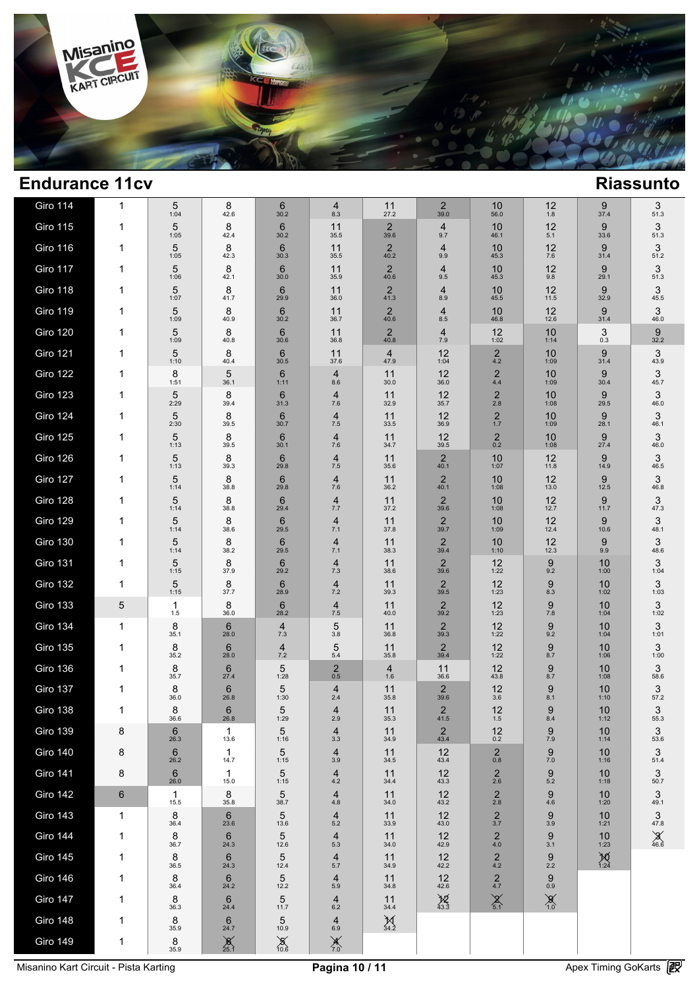

| Giro 114        | 1 | 5<br>1:04              | 8<br>42.6              | 6<br>30.2                 | 4<br>8.3                  | 11<br>27.2                    | $\frac{2}{39.0}$       | 10<br>56.0                        | 12<br>1.8           | 9<br>37.4  | 3<br>51.3            |  |
|-----------------|---|------------------------|------------------------|---------------------------|---------------------------|-------------------------------|------------------------|-----------------------------------|---------------------|------------|----------------------|--|
| <b>Giro 115</b> | 1 | 5<br>1:05              | 8<br>42.4              | 6<br>30.2                 | 11<br>35.5                | $\frac{2}{39.6}$              | $\overline{4}$<br>9.7  | 10<br>46.1                        | 12<br>5.1           | 9<br>33.6  | 3<br>51.3            |  |
| <b>Giro 116</b> | 1 | 5<br>1:05              | 8<br>42.3              | 6<br>30.3                 | 11<br>35.5                | $\overline{2}$<br>40.2        | $\overline{4}$<br>9.9  | 10<br>45.3                        | 12<br>7.6           | 9<br>31.4  | 3<br>51.2            |  |
| Giro 117        | 1 | 5<br>1:06              | 8<br>42.1              | 6<br>30.0                 | 11<br>35.9                | $\overline{2}$<br>40.6        | $\overline{4}$<br>9.5  | 10<br>45.3                        | 12<br>9.8           | 9<br>29.1  | 3<br>51.3            |  |
| <b>Giro 118</b> | 1 | 5<br>1:07              | 8<br>41.7              | 6<br>29.9                 | 11<br>36.0                | $\overline{2}$<br>41.3        | $\overline{4}$<br>8.9  | 10<br>45.5                        | 12<br>11.5          | 9<br>32.9  | 3<br>45.5            |  |
| <b>Giro 119</b> | 1 | 5<br>1:09              | 8<br>40.9              | 6<br>30.2                 | 11<br>36.7                | $\overline{2}$<br>40.6        | $\overline{4}$<br>8.5  | 10<br>46.8                        | 12<br>12.6          | 9<br>31.4  | 3<br>46.0            |  |
| <b>Giro 120</b> | 1 | 5<br>1:09              | 8<br>40.8              | 6<br>30.6                 | 11<br>36.8                | $\overline{2}$<br>40.8        | $\overline{4}$<br>7.9  | 12<br>1:02                        | 10<br>1:14          | 3<br>0.3   | 9<br>32.2            |  |
| <b>Giro 121</b> | 1 | 5<br>1:10              | 8<br>40.4              | 6<br>30.5                 | 11<br>37.6                | $\overline{4}$<br>47.9        | 12<br>1:04             | $\overline{2}$<br>4.2             | 10<br>1:09          | 9<br>31.4  | 3<br>43.9            |  |
| <b>Giro 122</b> | 1 | 8<br>1:51              | 5<br>36.1              | 6<br>1:11                 | $\overline{4}$<br>8.6     | 11<br>30.0                    | 12<br>36.0             | $^{\,2}_{\scriptscriptstyle 4.4}$ | 10<br>1:09          | 9<br>30.4  | 3<br>45.7            |  |
| <b>Giro 123</b> | 1 | 5<br>2:29              | 8<br>39.4              | 6<br>31.3                 | $\overline{4}$<br>7.6     | 11<br>32.9                    | 12<br>35.7             | $\overline{2}$<br>2.8             | 10<br>1:08          | 9<br>29.5  | 3<br>46.0            |  |
| <b>Giro 124</b> | 1 | 5<br>2:30              | 8<br>39.5              | 6<br>30.7                 | $\overline{4}$<br>7.5     | 11<br>33.5                    | 12<br>36.9             | $\overline{2}$<br>$1.7$           | 10<br>1:09          | 9<br>28.1  | 3<br>46.1            |  |
| <b>Giro 125</b> | 1 | 5<br>1:13              | 8<br>39.5              | 6<br>30.1                 | $\overline{4}$<br>7.6     | 11<br>34.7                    | 12<br>39.5             | $\overline{c}$<br>0.2             | 10<br>1:08          | 9<br>27.4  | 3<br>46.0            |  |
| <b>Giro 126</b> | 1 | 5<br>1:13              | 8<br>39.3              | 6<br>29.8                 | $\overline{4}$<br>7.5     | 11<br>35.6                    | $\overline{2}$<br>40.1 | 10<br>1:07                        | 12<br>11.8          | 9<br>14.9  | 3<br>46.5            |  |
| <b>Giro 127</b> | 1 | 5<br>1:14              | 8<br>38.8              | 6<br>29.8                 | $\overline{4}$<br>7.6     | 11<br>36.2                    | $\overline{2}$<br>40.1 | 10<br>1:08                        | 12<br>13.0          | 9<br>12.5  | 3<br>46.8            |  |
| <b>Giro 128</b> | 1 | 5<br>1:14              | 8<br>38.8              | 6<br>29.4                 | 4<br>7.7                  | 11<br>37.2                    | $\overline{2}$<br>39.6 | 10<br>1:08                        | 12<br>12.7          | 9<br>11.7  | 3<br>47.3            |  |
| <b>Giro 129</b> | 1 | 5<br>1:14              | 8<br>38.6              | 6<br>29.5                 | $\overline{4}$<br>7.1     | 11<br>37.8                    | $\overline{2}$<br>39.7 | 10<br>1:09                        | 12<br>12.4          | 9<br>10.6  | 3<br>48.1            |  |
| <b>Giro 130</b> | 1 | 5<br>1:14              | 8<br>38.2              | 6<br>29.5                 | $\overline{4}$<br>7.1     | 11<br>38.3                    | $\overline{2}$<br>39.4 | 10<br>1:10                        | 12<br>12.3          | 9<br>9.9   | 3<br>48.6            |  |
| <b>Giro 131</b> | 1 | 5<br>1:15              | 8<br>37.9              | 6<br>29.2                 | 4<br>7.3                  | 11<br>38.6                    | $\overline{2}$<br>39.6 | 12<br>1:22                        | 9<br>9.2            | 10<br>1:00 | 3<br>1:04            |  |
| <b>Giro 132</b> | 1 | 5<br>1:15              | 8<br>37.7              | 6<br>28.9                 | 4<br>7.2                  | 11<br>39.3                    | $\overline{2}$<br>39.5 | 12<br>1:23                        | 9<br>8.3            | 10<br>1:02 | 3<br>1:03            |  |
| <b>Giro 133</b> | 5 | 1<br>1.5               | 8<br>36.0              | 6<br>28.2                 | 4<br>7.5                  | 11<br>40.0                    | $\overline{2}$<br>39.2 | 12<br>1:23                        | 9<br>7.8            | 10<br>1:04 | 3<br>1:02            |  |
| <b>Giro 134</b> | 1 | 8<br>35.1              | 6<br>28.0              | 4<br>7.3                  | 5<br>3.8                  | 11<br>36.8                    | $\overline{2}$<br>39.3 | 12<br>1:22                        | 9<br>9.2            | 10<br>1:04 | 3<br>1:01            |  |
| <b>Giro 135</b> | 1 | 8<br>35.2              | 6<br>28.0              | $\overline{4}$<br>$7.2\,$ | 5<br>5.4                  | 11<br>35.8                    | $\overline{2}$<br>39.4 | 12<br>1:22                        | 9<br>8.7            | 10<br>1:06 | 3<br>1:00            |  |
| <b>Giro 136</b> | 1 | 8<br>35.7              | 6<br>27.4              | 5<br>1:28                 | $\overline{2}$<br>0.5     | 4<br>1.6                      | 11<br>36.6             | 12<br>43.8                        | 9<br>8.7            | 10<br>1:08 | 3<br>58.6            |  |
| Giro 137        | 1 | 8<br>36.0              | 6<br>26.8              | 5<br>1:30                 | 4<br>2.4                  | 11<br>35.8                    | $\overline{2}$<br>39.6 | 12<br>3.6                         | 9<br>8.1            | 10<br>1:10 | 3<br>57.2            |  |
| Giro 138        | 1 | 8<br>36.6              | 6<br>26.8              | 5<br>1:29                 | 4<br>2.9                  | 11<br>35.3                    | $\overline{2}$<br>41.5 | 12<br>1.5                         | 9<br>8.4            | 10<br>1:12 | 3<br>55.3            |  |
| <b>Giro 139</b> | 8 | 6<br>26.3              | 1<br>13.6              | 5<br>1:16                 | 4<br>3.3                  | 11<br>34.9                    | $\overline{a}$<br>43.4 | 12<br>$0.2\,$                     | 9,7.9               | 10<br>1:14 | 3<br>53.6            |  |
| <b>Giro 140</b> | 8 | $6\phantom{1}$<br>26.2 | 1<br>14.7              | 5<br>1:15                 | $\overline{4}$<br>3.9     | 11<br>34.5                    | 12<br>43.4             | $\overline{c}$<br>$0.8\,$         | 9<br>$7.0\,$        | 10<br>1:16 | 3<br>51.4            |  |
| <b>Giro 141</b> | 8 | 6<br>26.0              | 1<br>15.0              | 5<br>1:15                 | 4<br>$4.2\,$              | 11<br>34.4                    | 12<br>43.3             | $\overline{c}$<br>2.6             | 9<br>$5.2\,$        | 10<br>1:18 | 3<br>50.7            |  |
| Giro 142        | 6 | 1<br>15.5              | 8<br>35.8              | 5<br>38.7                 | 4<br>$4.8\,$              | 11<br>34.0                    | 12<br>43.2             | $\frac{2}{2.8}$                   | 9<br>4.6            | 10<br>1:20 | 3<br>49.1            |  |
| <b>Giro 143</b> | 1 | 8<br>36.4              | 6<br>23.6              | 5<br>13.6                 | $\frac{4}{5.2}$           | 11<br>33.9                    | 12<br>43.0             | $\frac{2}{3.7}$                   | $\underset{3.9}{9}$ | 10<br>1:21 | $\mathbf{3}$<br>47.8 |  |
| Giro 144        | 1 | 8<br>36.7              | 6<br>24.3              | 5<br>12.6                 | $\overline{4}$<br>$5.3\,$ | 11<br>34.0                    | 12<br>42.9             | $^{\,2}_{\scriptscriptstyle 4.0}$ | $9_{3.1}$           | 10<br>1:23 | $\chi_{46.6}$        |  |
| <b>Giro 145</b> | 1 | 8<br>36.5              | 6<br>24.3              | 5<br>12.4                 | $\overline{4}$<br>$5.7\,$ | 11<br>34.9                    | 12<br>42.2             | $\underset{4.2}{2}$               | 9<br>2.2            | $M_{1:24}$ |                      |  |
| Giro 146        | 1 | 8<br>36.4              | 6<br>24.2              | 5<br>12.2                 | $\overline{4}$<br>$5.9\,$ | 11<br>34.8                    | $12$<br>$42.6$         | $^{\,2}_{\scriptscriptstyle 4.7}$ | $\underset{0.9}{9}$ |            |                      |  |
| Giro 147        | 1 | 8<br>36.3              | 6<br>24.4              | 5<br>11.7                 | $\overline{4}$<br>6.2     | 11<br>34.4                    | $\sum_{43.3}$          | $\sum_{5.1}$                      | $\sum_{1.0}$        |            |                      |  |
| Giro 148        | 1 | 8<br>35.9              | 6<br>24.7              | 5<br>10.9                 | $\overline{4}$<br>6.9     | $\underset{34.2}{\cancel{M}}$ |                        |                                   |                     |            |                      |  |
| <b>Giro 149</b> | 1 | 8<br>35.9              | $\chi$ <sub>25.1</sub> | $\frac{8}{10.6}$          | $X_{7.0}$                 |                               |                        |                                   |                     |            |                      |  |